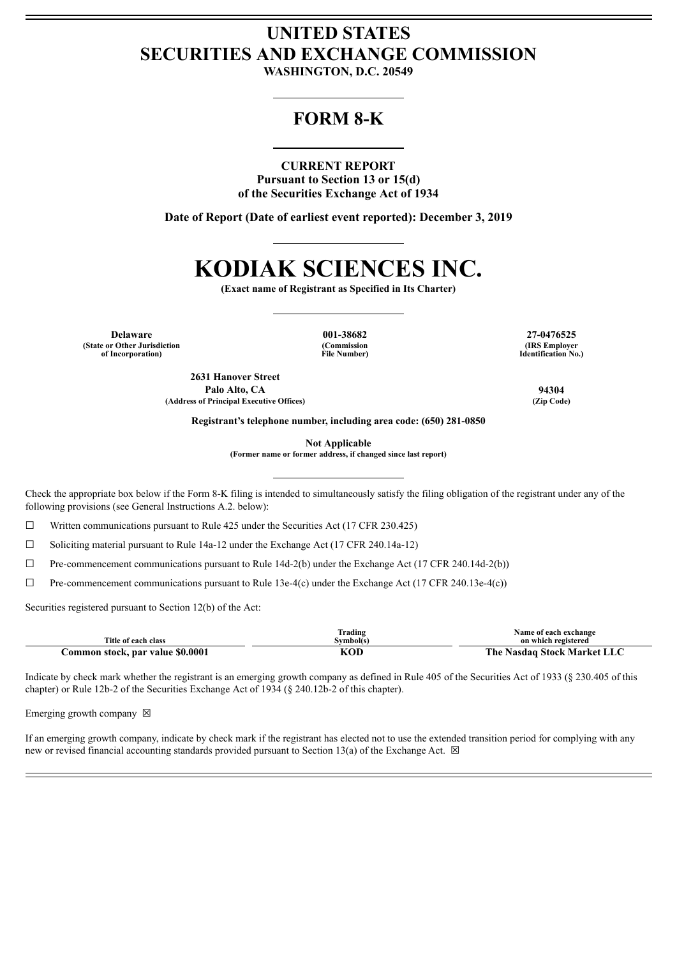# **UNITED STATES SECURITIES AND EXCHANGE COMMISSION**

**WASHINGTON, D.C. 20549**

# **FORM 8-K**

# **CURRENT REPORT**

**Pursuant to Section 13 or 15(d) of the Securities Exchange Act of 1934**

**Date of Report (Date of earliest event reported): December 3, 2019**

# **KODIAK SCIENCES INC.**

**(Exact name of Registrant as Specified in Its Charter)**

**Delaware 001-38682 27-0476525 (State or Other Jurisdiction of Incorporation)**

**(Commission File Number)**

**(IRS Employer Identification No.)**

**2631 Hanover Street Palo Alto, CA 94304 (Address of Principal Executive Offices) (Zip Code)**

**Registrant's telephone number, including area code: (650) 281-0850**

**Not Applicable**

**(Former name or former address, if changed since last report)**

Check the appropriate box below if the Form 8-K filing is intended to simultaneously satisfy the filing obligation of the registrant under any of the following provisions (see General Instructions A.2. below):

 $\Box$  Written communications pursuant to Rule 425 under the Securities Act (17 CFR 230.425)

☐ Soliciting material pursuant to Rule 14a-12 under the Exchange Act (17 CFR 240.14a-12)

 $\Box$  Pre-commencement communications pursuant to Rule 14d-2(b) under the Exchange Act (17 CFR 240.14d-2(b))

☐ Pre-commencement communications pursuant to Rule 13e-4(c) under the Exchange Act (17 CFR 240.13e-4(c))

Securities registered pursuant to Section 12(b) of the Act:

| Title of each class              | 'rading<br>Svmbol(s) | Name of each exchange<br>on which registered |
|----------------------------------|----------------------|----------------------------------------------|
| Common stock, par value \$0.0001 | KOD                  | The Nasdaq Stock Market LLC                  |

Indicate by check mark whether the registrant is an emerging growth company as defined in Rule 405 of the Securities Act of 1933 (§ 230.405 of this chapter) or Rule 12b-2 of the Securities Exchange Act of 1934 (§ 240.12b-2 of this chapter).

Emerging growth company  $\boxtimes$ 

If an emerging growth company, indicate by check mark if the registrant has elected not to use the extended transition period for complying with any new or revised financial accounting standards provided pursuant to Section 13(a) of the Exchange Act.  $\boxtimes$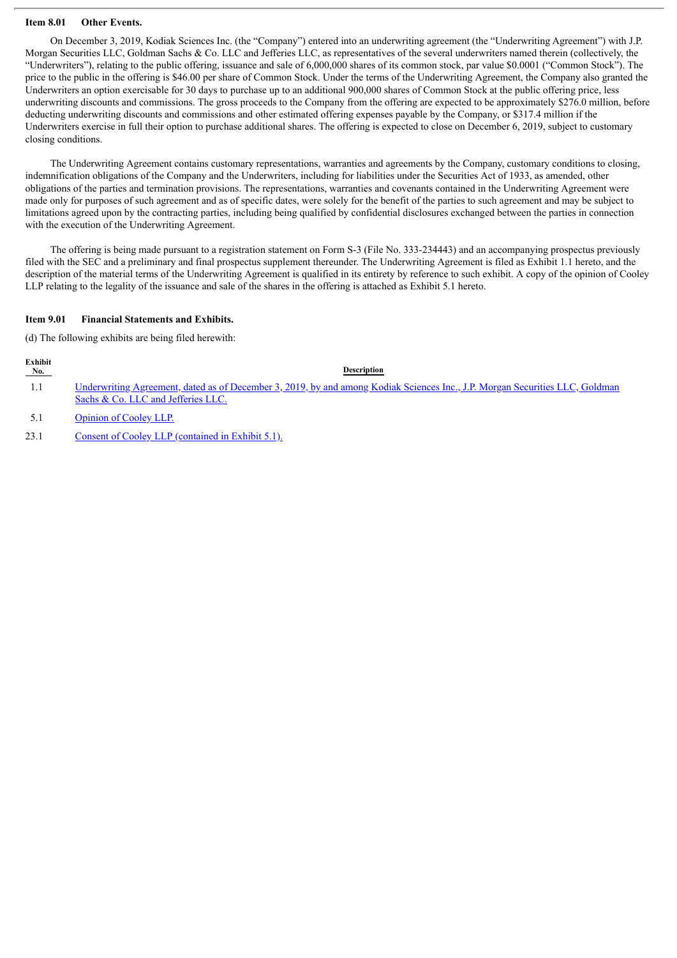## **Item 8.01 Other Events.**

On December 3, 2019, Kodiak Sciences Inc. (the "Company") entered into an underwriting agreement (the "Underwriting Agreement") with J.P. Morgan Securities LLC, Goldman Sachs & Co. LLC and Jefferies LLC, as representatives of the several underwriters named therein (collectively, the "Underwriters"), relating to the public offering, issuance and sale of 6,000,000 shares of its common stock, par value \$0.0001 ("Common Stock"). The price to the public in the offering is \$46.00 per share of Common Stock. Under the terms of the Underwriting Agreement, the Company also granted the Underwriters an option exercisable for 30 days to purchase up to an additional 900,000 shares of Common Stock at the public offering price, less underwriting discounts and commissions. The gross proceeds to the Company from the offering are expected to be approximately \$276.0 million, before deducting underwriting discounts and commissions and other estimated offering expenses payable by the Company, or \$317.4 million if the Underwriters exercise in full their option to purchase additional shares. The offering is expected to close on December 6, 2019, subject to customary closing conditions.

The Underwriting Agreement contains customary representations, warranties and agreements by the Company, customary conditions to closing, indemnification obligations of the Company and the Underwriters, including for liabilities under the Securities Act of 1933, as amended, other obligations of the parties and termination provisions. The representations, warranties and covenants contained in the Underwriting Agreement were made only for purposes of such agreement and as of specific dates, were solely for the benefit of the parties to such agreement and may be subject to limitations agreed upon by the contracting parties, including being qualified by confidential disclosures exchanged between the parties in connection with the execution of the Underwriting Agreement.

The offering is being made pursuant to a registration statement on Form S-3 (File No. 333-234443) and an accompanying prospectus previously filed with the SEC and a preliminary and final prospectus supplement thereunder. The Underwriting Agreement is filed as Exhibit 1.1 hereto, and the description of the material terms of the Underwriting Agreement is qualified in its entirety by reference to such exhibit. A copy of the opinion of Cooley LLP relating to the legality of the issuance and sale of the shares in the offering is attached as Exhibit 5.1 hereto.

# **Item 9.01 Financial Statements and Exhibits.**

(d) The following exhibits are being filed herewith:

| No. | <b>Description</b>                                                                                                                  |
|-----|-------------------------------------------------------------------------------------------------------------------------------------|
|     | <u>Underwriting Agreement, dated as of December 3, 2019, by and among Kodiak Sciences Inc., J.P. Morgan Securities LLC, Goldman</u> |
|     | Sachs & Co. LLC and Jefferies LLC.                                                                                                  |
|     |                                                                                                                                     |

5.1 [Opinion](#page-46-0) of Cooley LLP.

**Exhibit**

23.1 Consent of Cooley LLP [\(contained](#page-46-0) in Exhibit 5.1).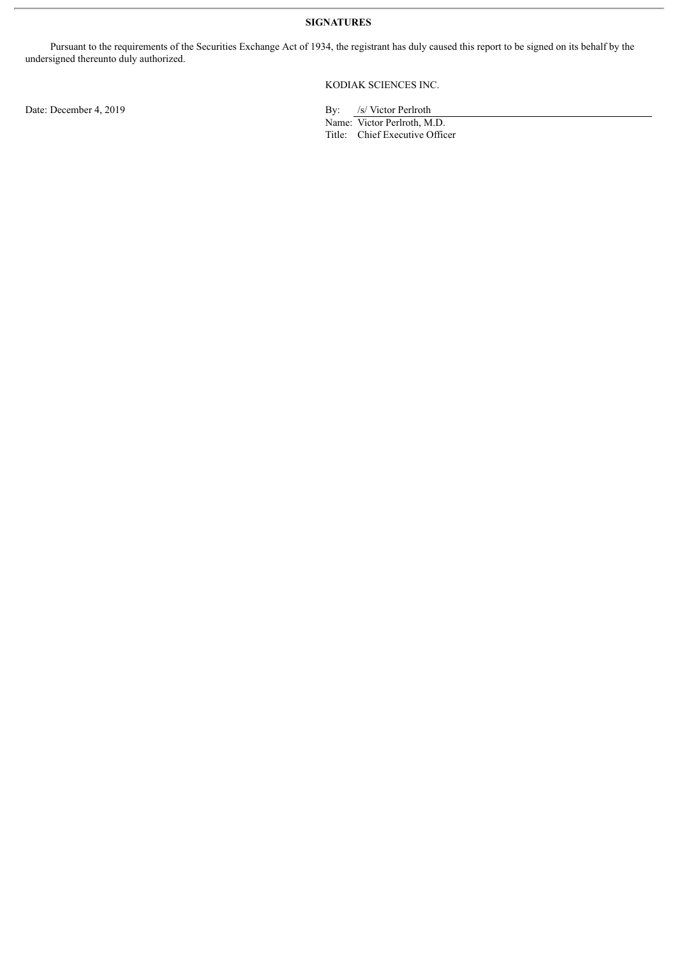**SIGNATURES**

Pursuant to the requirements of the Securities Exchange Act of 1934, the registrant has duly caused this report to be signed on its behalf by the undersigned thereunto duly authorized.

KODIAK SCIENCES INC.

Name: Victor Perlroth, M.D. Title: Chief Executive Officer

Date: December 4, 2019 By: /s/ Victor Perlroth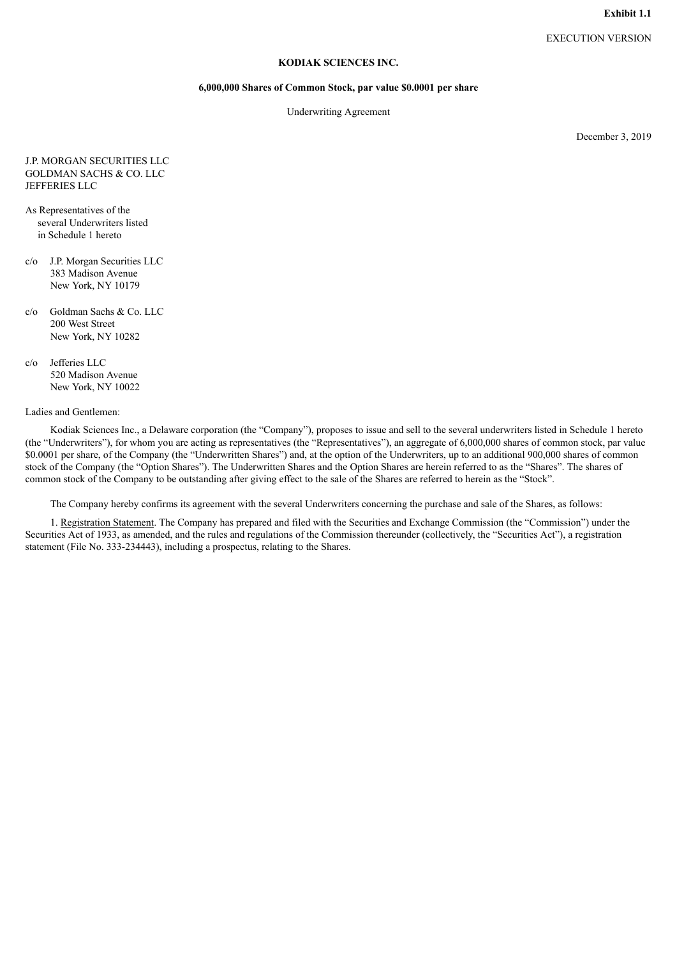## **KODIAK SCIENCES INC.**

#### **6,000,000 Shares of Common Stock, par value \$0.0001 per share**

Underwriting Agreement

December 3, 2019

#### <span id="page-3-0"></span>J.P. MORGAN SECURITIES LLC GOLDMAN SACHS & CO. LLC JEFFERIES LLC

- As Representatives of the several Underwriters listed in Schedule 1 hereto
- c/o J.P. Morgan Securities LLC 383 Madison Avenue New York, NY 10179
- c/o Goldman Sachs & Co. LLC 200 West Street New York, NY 10282
- c/o Jefferies LLC 520 Madison Avenue New York, NY 10022

#### Ladies and Gentlemen:

Kodiak Sciences Inc., a Delaware corporation (the "Company"), proposes to issue and sell to the several underwriters listed in Schedule 1 hereto (the "Underwriters"), for whom you are acting as representatives (the "Representatives"), an aggregate of 6,000,000 shares of common stock, par value \$0.0001 per share, of the Company (the "Underwritten Shares") and, at the option of the Underwriters, up to an additional 900,000 shares of common stock of the Company (the "Option Shares"). The Underwritten Shares and the Option Shares are herein referred to as the "Shares". The shares of common stock of the Company to be outstanding after giving effect to the sale of the Shares are referred to herein as the "Stock".

The Company hereby confirms its agreement with the several Underwriters concerning the purchase and sale of the Shares, as follows:

1. Registration Statement. The Company has prepared and filed with the Securities and Exchange Commission (the "Commission") under the Securities Act of 1933, as amended, and the rules and regulations of the Commission thereunder (collectively, the "Securities Act"), a registration statement (File No. 333-234443), including a prospectus, relating to the Shares.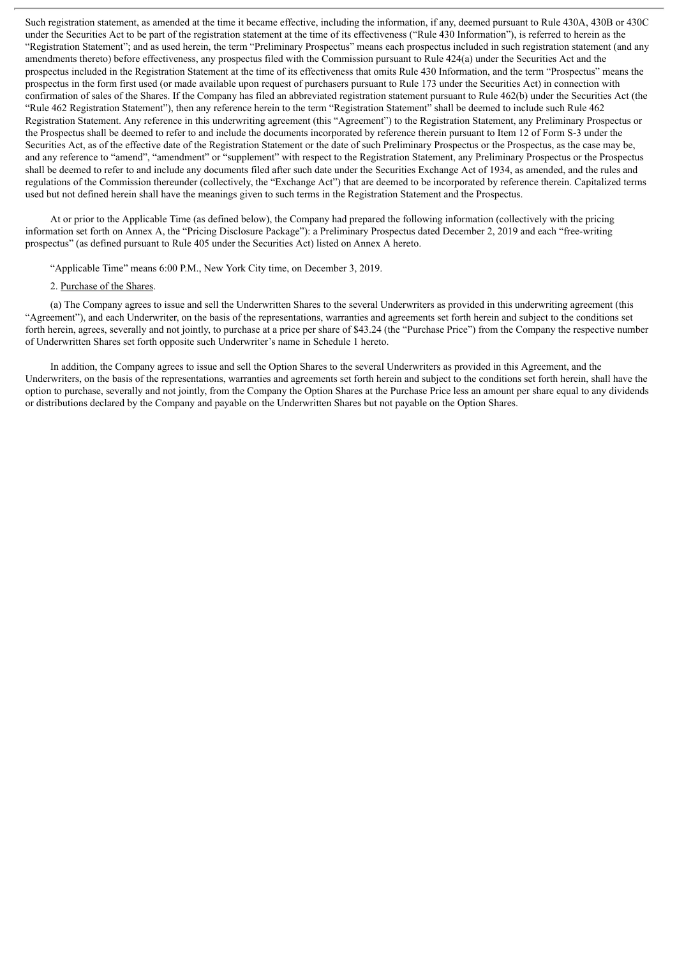Such registration statement, as amended at the time it became effective, including the information, if any, deemed pursuant to Rule 430A, 430B or 430C under the Securities Act to be part of the registration statement at the time of its effectiveness ("Rule 430 Information"), is referred to herein as the "Registration Statement"; and as used herein, the term "Preliminary Prospectus" means each prospectus included in such registration statement (and any amendments thereto) before effectiveness, any prospectus filed with the Commission pursuant to Rule 424(a) under the Securities Act and the prospectus included in the Registration Statement at the time of its effectiveness that omits Rule 430 Information, and the term "Prospectus" means the prospectus in the form first used (or made available upon request of purchasers pursuant to Rule 173 under the Securities Act) in connection with confirmation of sales of the Shares. If the Company has filed an abbreviated registration statement pursuant to Rule 462(b) under the Securities Act (the "Rule 462 Registration Statement"), then any reference herein to the term "Registration Statement" shall be deemed to include such Rule 462 Registration Statement. Any reference in this underwriting agreement (this "Agreement") to the Registration Statement, any Preliminary Prospectus or the Prospectus shall be deemed to refer to and include the documents incorporated by reference therein pursuant to Item 12 of Form S-3 under the Securities Act, as of the effective date of the Registration Statement or the date of such Preliminary Prospectus or the Prospectus, as the case may be, and any reference to "amend", "amendment" or "supplement" with respect to the Registration Statement, any Preliminary Prospectus or the Prospectus shall be deemed to refer to and include any documents filed after such date under the Securities Exchange Act of 1934, as amended, and the rules and regulations of the Commission thereunder (collectively, the "Exchange Act") that are deemed to be incorporated by reference therein. Capitalized terms used but not defined herein shall have the meanings given to such terms in the Registration Statement and the Prospectus.

At or prior to the Applicable Time (as defined below), the Company had prepared the following information (collectively with the pricing information set forth on Annex A, the "Pricing Disclosure Package"): a Preliminary Prospectus dated December 2, 2019 and each "free-writing prospectus" (as defined pursuant to Rule 405 under the Securities Act) listed on Annex A hereto.

"Applicable Time" means 6:00 P.M., New York City time, on December 3, 2019.

#### 2. Purchase of the Shares.

(a) The Company agrees to issue and sell the Underwritten Shares to the several Underwriters as provided in this underwriting agreement (this "Agreement"), and each Underwriter, on the basis of the representations, warranties and agreements set forth herein and subject to the conditions set forth herein, agrees, severally and not jointly, to purchase at a price per share of \$43.24 (the "Purchase Price") from the Company the respective number of Underwritten Shares set forth opposite such Underwriter's name in Schedule 1 hereto.

In addition, the Company agrees to issue and sell the Option Shares to the several Underwriters as provided in this Agreement, and the Underwriters, on the basis of the representations, warranties and agreements set forth herein and subject to the conditions set forth herein, shall have the option to purchase, severally and not jointly, from the Company the Option Shares at the Purchase Price less an amount per share equal to any dividends or distributions declared by the Company and payable on the Underwritten Shares but not payable on the Option Shares.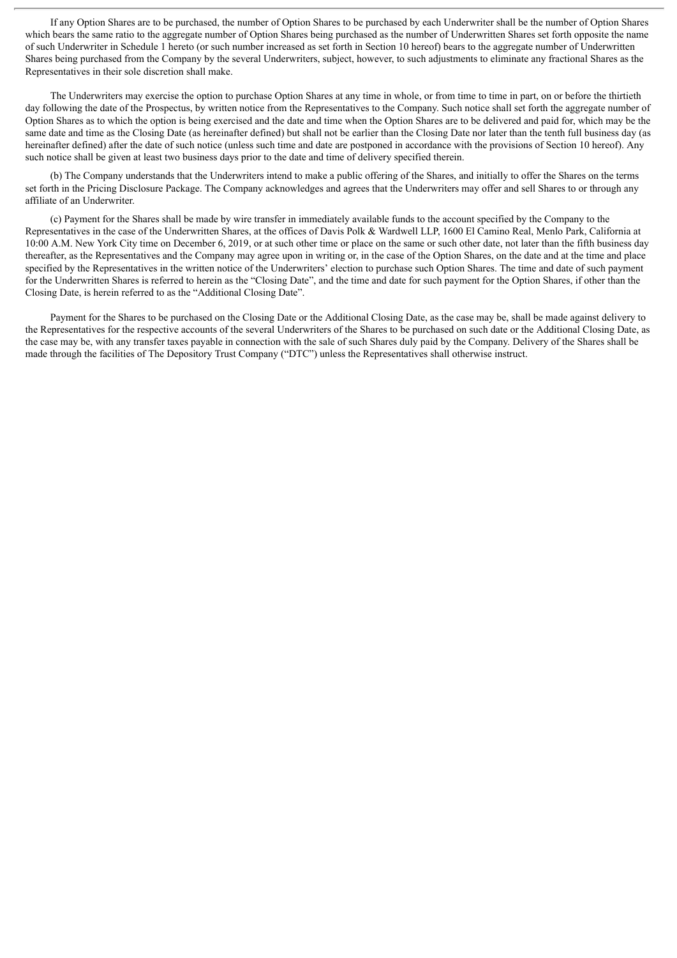If any Option Shares are to be purchased, the number of Option Shares to be purchased by each Underwriter shall be the number of Option Shares which bears the same ratio to the aggregate number of Option Shares being purchased as the number of Underwritten Shares set forth opposite the name of such Underwriter in Schedule 1 hereto (or such number increased as set forth in Section 10 hereof) bears to the aggregate number of Underwritten Shares being purchased from the Company by the several Underwriters, subject, however, to such adjustments to eliminate any fractional Shares as the Representatives in their sole discretion shall make.

The Underwriters may exercise the option to purchase Option Shares at any time in whole, or from time to time in part, on or before the thirtieth day following the date of the Prospectus, by written notice from the Representatives to the Company. Such notice shall set forth the aggregate number of Option Shares as to which the option is being exercised and the date and time when the Option Shares are to be delivered and paid for, which may be the same date and time as the Closing Date (as hereinafter defined) but shall not be earlier than the Closing Date nor later than the tenth full business day (as hereinafter defined) after the date of such notice (unless such time and date are postponed in accordance with the provisions of Section 10 hereof). Any such notice shall be given at least two business days prior to the date and time of delivery specified therein.

(b) The Company understands that the Underwriters intend to make a public offering of the Shares, and initially to offer the Shares on the terms set forth in the Pricing Disclosure Package. The Company acknowledges and agrees that the Underwriters may offer and sell Shares to or through any affiliate of an Underwriter.

(c) Payment for the Shares shall be made by wire transfer in immediately available funds to the account specified by the Company to the Representatives in the case of the Underwritten Shares, at the offices of Davis Polk & Wardwell LLP, 1600 El Camino Real, Menlo Park, California at 10:00 A.M. New York City time on December 6, 2019, or at such other time or place on the same or such other date, not later than the fifth business day thereafter, as the Representatives and the Company may agree upon in writing or, in the case of the Option Shares, on the date and at the time and place specified by the Representatives in the written notice of the Underwriters' election to purchase such Option Shares. The time and date of such payment for the Underwritten Shares is referred to herein as the "Closing Date", and the time and date for such payment for the Option Shares, if other than the Closing Date, is herein referred to as the "Additional Closing Date".

Payment for the Shares to be purchased on the Closing Date or the Additional Closing Date, as the case may be, shall be made against delivery to the Representatives for the respective accounts of the several Underwriters of the Shares to be purchased on such date or the Additional Closing Date, as the case may be, with any transfer taxes payable in connection with the sale of such Shares duly paid by the Company. Delivery of the Shares shall be made through the facilities of The Depository Trust Company ("DTC") unless the Representatives shall otherwise instruct.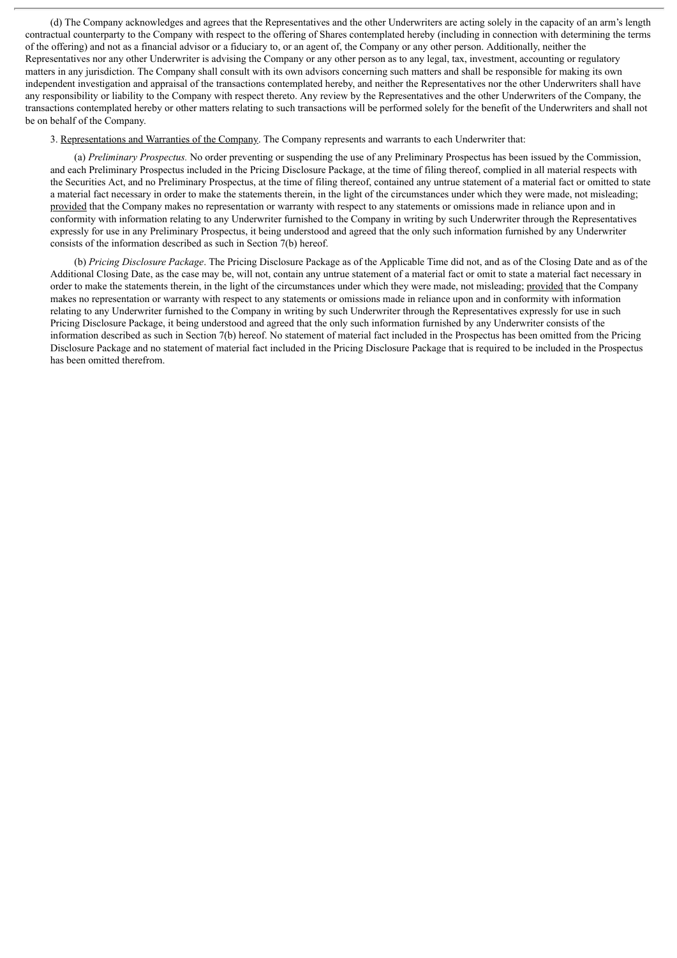(d) The Company acknowledges and agrees that the Representatives and the other Underwriters are acting solely in the capacity of an arm's length contractual counterparty to the Company with respect to the offering of Shares contemplated hereby (including in connection with determining the terms of the offering) and not as a financial advisor or a fiduciary to, or an agent of, the Company or any other person. Additionally, neither the Representatives nor any other Underwriter is advising the Company or any other person as to any legal, tax, investment, accounting or regulatory matters in any jurisdiction. The Company shall consult with its own advisors concerning such matters and shall be responsible for making its own independent investigation and appraisal of the transactions contemplated hereby, and neither the Representatives nor the other Underwriters shall have any responsibility or liability to the Company with respect thereto. Any review by the Representatives and the other Underwriters of the Company, the transactions contemplated hereby or other matters relating to such transactions will be performed solely for the benefit of the Underwriters and shall not be on behalf of the Company.

3. Representations and Warranties of the Company. The Company represents and warrants to each Underwriter that:

(a) *Preliminary Prospectus.* No order preventing or suspending the use of any Preliminary Prospectus has been issued by the Commission, and each Preliminary Prospectus included in the Pricing Disclosure Package, at the time of filing thereof, complied in all material respects with the Securities Act, and no Preliminary Prospectus, at the time of filing thereof, contained any untrue statement of a material fact or omitted to state a material fact necessary in order to make the statements therein, in the light of the circumstances under which they were made, not misleading; provided that the Company makes no representation or warranty with respect to any statements or omissions made in reliance upon and in conformity with information relating to any Underwriter furnished to the Company in writing by such Underwriter through the Representatives expressly for use in any Preliminary Prospectus, it being understood and agreed that the only such information furnished by any Underwriter consists of the information described as such in Section 7(b) hereof.

(b) *Pricing Disclosure Package*. The Pricing Disclosure Package as of the Applicable Time did not, and as of the Closing Date and as of the Additional Closing Date, as the case may be, will not, contain any untrue statement of a material fact or omit to state a material fact necessary in order to make the statements therein, in the light of the circumstances under which they were made, not misleading; provided that the Company makes no representation or warranty with respect to any statements or omissions made in reliance upon and in conformity with information relating to any Underwriter furnished to the Company in writing by such Underwriter through the Representatives expressly for use in such Pricing Disclosure Package, it being understood and agreed that the only such information furnished by any Underwriter consists of the information described as such in Section 7(b) hereof. No statement of material fact included in the Prospectus has been omitted from the Pricing Disclosure Package and no statement of material fact included in the Pricing Disclosure Package that is required to be included in the Prospectus has been omitted therefrom.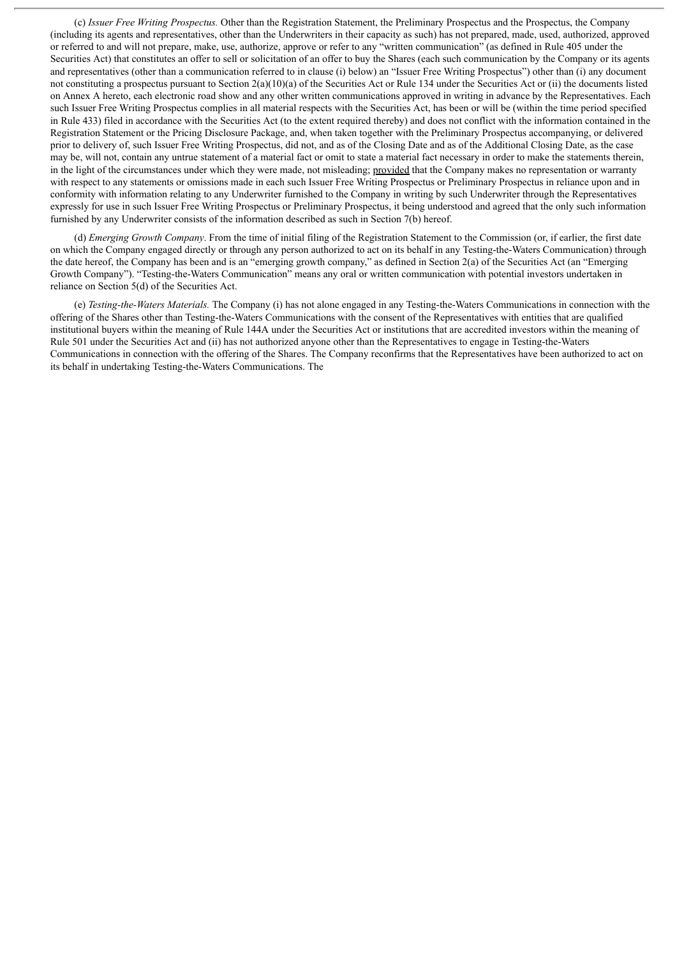(c) *Issuer Free Writing Prospectus.* Other than the Registration Statement, the Preliminary Prospectus and the Prospectus, the Company (including its agents and representatives, other than the Underwriters in their capacity as such) has not prepared, made, used, authorized, approved or referred to and will not prepare, make, use, authorize, approve or refer to any "written communication" (as defined in Rule 405 under the Securities Act) that constitutes an offer to sell or solicitation of an offer to buy the Shares (each such communication by the Company or its agents and representatives (other than a communication referred to in clause (i) below) an "Issuer Free Writing Prospectus") other than (i) any document not constituting a prospectus pursuant to Section  $2(a)(10)(a)$  of the Securities Act or Rule 134 under the Securities Act or (ii) the documents listed on Annex A hereto, each electronic road show and any other written communications approved in writing in advance by the Representatives. Each such Issuer Free Writing Prospectus complies in all material respects with the Securities Act, has been or will be (within the time period specified in Rule 433) filed in accordance with the Securities Act (to the extent required thereby) and does not conflict with the information contained in the Registration Statement or the Pricing Disclosure Package, and, when taken together with the Preliminary Prospectus accompanying, or delivered prior to delivery of, such Issuer Free Writing Prospectus, did not, and as of the Closing Date and as of the Additional Closing Date, as the case may be, will not, contain any untrue statement of a material fact or omit to state a material fact necessary in order to make the statements therein, in the light of the circumstances under which they were made, not misleading; provided that the Company makes no representation or warranty with respect to any statements or omissions made in each such Issuer Free Writing Prospectus or Preliminary Prospectus in reliance upon and in conformity with information relating to any Underwriter furnished to the Company in writing by such Underwriter through the Representatives expressly for use in such Issuer Free Writing Prospectus or Preliminary Prospectus, it being understood and agreed that the only such information furnished by any Underwriter consists of the information described as such in Section 7(b) hereof.

(d) *Emerging Growth Company*. From the time of initial filing of the Registration Statement to the Commission (or, if earlier, the first date on which the Company engaged directly or through any person authorized to act on its behalf in any Testing-the-Waters Communication) through the date hereof, the Company has been and is an "emerging growth company," as defined in Section 2(a) of the Securities Act (an "Emerging Growth Company"). "Testing-the-Waters Communication" means any oral or written communication with potential investors undertaken in reliance on Section 5(d) of the Securities Act.

(e) *Testing-the-Waters Materials.* The Company (i) has not alone engaged in any Testing-the-Waters Communications in connection with the offering of the Shares other than Testing-the-Waters Communications with the consent of the Representatives with entities that are qualified institutional buyers within the meaning of Rule 144A under the Securities Act or institutions that are accredited investors within the meaning of Rule 501 under the Securities Act and (ii) has not authorized anyone other than the Representatives to engage in Testing-the-Waters Communications in connection with the offering of the Shares. The Company reconfirms that the Representatives have been authorized to act on its behalf in undertaking Testing-the-Waters Communications. The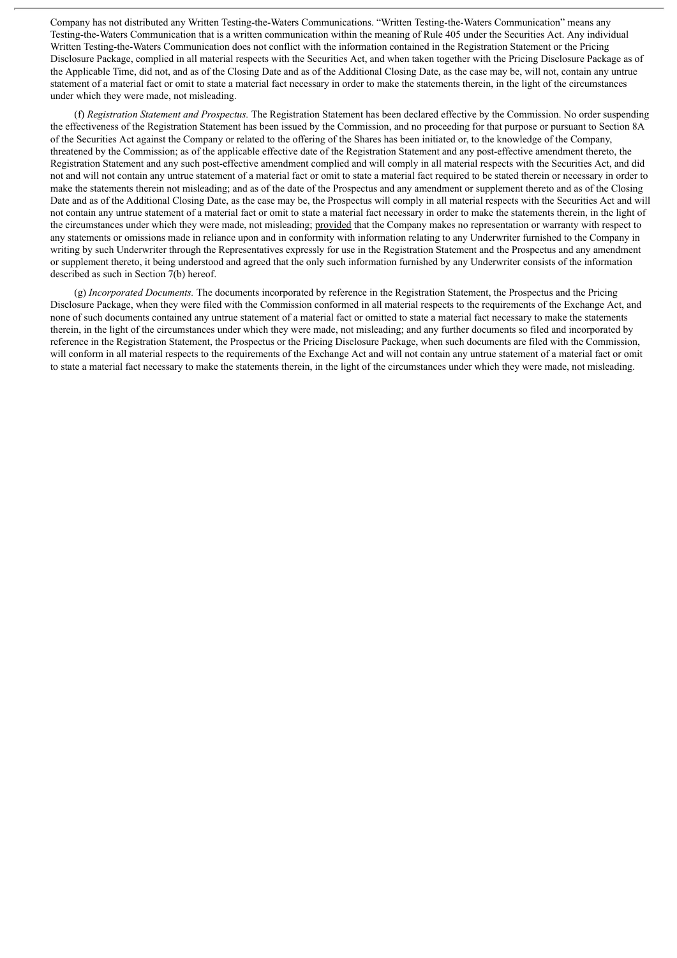Company has not distributed any Written Testing-the-Waters Communications. "Written Testing-the-Waters Communication" means any Testing-the-Waters Communication that is a written communication within the meaning of Rule 405 under the Securities Act. Any individual Written Testing-the-Waters Communication does not conflict with the information contained in the Registration Statement or the Pricing Disclosure Package, complied in all material respects with the Securities Act, and when taken together with the Pricing Disclosure Package as of the Applicable Time, did not, and as of the Closing Date and as of the Additional Closing Date, as the case may be, will not, contain any untrue statement of a material fact or omit to state a material fact necessary in order to make the statements therein, in the light of the circumstances under which they were made, not misleading.

(f) *Registration Statement and Prospectus.* The Registration Statement has been declared effective by the Commission. No order suspending the effectiveness of the Registration Statement has been issued by the Commission, and no proceeding for that purpose or pursuant to Section 8A of the Securities Act against the Company or related to the offering of the Shares has been initiated or, to the knowledge of the Company, threatened by the Commission; as of the applicable effective date of the Registration Statement and any post-effective amendment thereto, the Registration Statement and any such post-effective amendment complied and will comply in all material respects with the Securities Act, and did not and will not contain any untrue statement of a material fact or omit to state a material fact required to be stated therein or necessary in order to make the statements therein not misleading; and as of the date of the Prospectus and any amendment or supplement thereto and as of the Closing Date and as of the Additional Closing Date, as the case may be, the Prospectus will comply in all material respects with the Securities Act and will not contain any untrue statement of a material fact or omit to state a material fact necessary in order to make the statements therein, in the light of the circumstances under which they were made, not misleading; provided that the Company makes no representation or warranty with respect to any statements or omissions made in reliance upon and in conformity with information relating to any Underwriter furnished to the Company in writing by such Underwriter through the Representatives expressly for use in the Registration Statement and the Prospectus and any amendment or supplement thereto, it being understood and agreed that the only such information furnished by any Underwriter consists of the information described as such in Section 7(b) hereof.

(g) *Incorporated Documents.* The documents incorporated by reference in the Registration Statement, the Prospectus and the Pricing Disclosure Package, when they were filed with the Commission conformed in all material respects to the requirements of the Exchange Act, and none of such documents contained any untrue statement of a material fact or omitted to state a material fact necessary to make the statements therein, in the light of the circumstances under which they were made, not misleading; and any further documents so filed and incorporated by reference in the Registration Statement, the Prospectus or the Pricing Disclosure Package, when such documents are filed with the Commission, will conform in all material respects to the requirements of the Exchange Act and will not contain any untrue statement of a material fact or omit to state a material fact necessary to make the statements therein, in the light of the circumstances under which they were made, not misleading.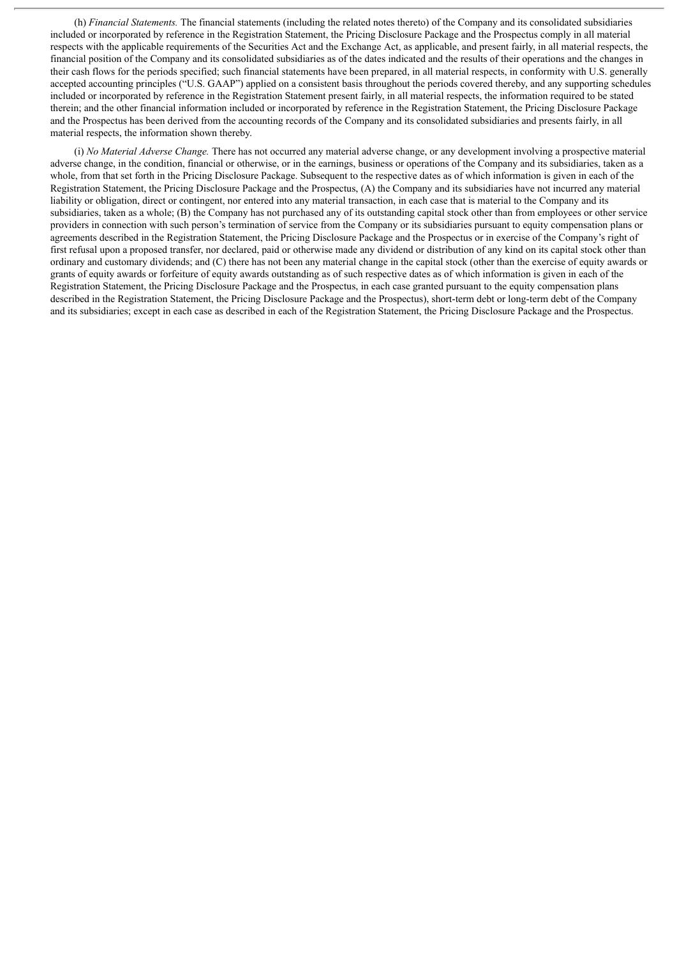(h) *Financial Statements.* The financial statements (including the related notes thereto) of the Company and its consolidated subsidiaries included or incorporated by reference in the Registration Statement, the Pricing Disclosure Package and the Prospectus comply in all material respects with the applicable requirements of the Securities Act and the Exchange Act, as applicable, and present fairly, in all material respects, the financial position of the Company and its consolidated subsidiaries as of the dates indicated and the results of their operations and the changes in their cash flows for the periods specified; such financial statements have been prepared, in all material respects, in conformity with U.S. generally accepted accounting principles ("U.S. GAAP") applied on a consistent basis throughout the periods covered thereby, and any supporting schedules included or incorporated by reference in the Registration Statement present fairly, in all material respects, the information required to be stated therein; and the other financial information included or incorporated by reference in the Registration Statement, the Pricing Disclosure Package and the Prospectus has been derived from the accounting records of the Company and its consolidated subsidiaries and presents fairly, in all material respects, the information shown thereby.

(i) *No Material Adverse Change.* There has not occurred any material adverse change, or any development involving a prospective material adverse change, in the condition, financial or otherwise, or in the earnings, business or operations of the Company and its subsidiaries, taken as a whole, from that set forth in the Pricing Disclosure Package. Subsequent to the respective dates as of which information is given in each of the Registration Statement, the Pricing Disclosure Package and the Prospectus, (A) the Company and its subsidiaries have not incurred any material liability or obligation, direct or contingent, nor entered into any material transaction, in each case that is material to the Company and its subsidiaries, taken as a whole; (B) the Company has not purchased any of its outstanding capital stock other than from employees or other service providers in connection with such person's termination of service from the Company or its subsidiaries pursuant to equity compensation plans or agreements described in the Registration Statement, the Pricing Disclosure Package and the Prospectus or in exercise of the Company's right of first refusal upon a proposed transfer, nor declared, paid or otherwise made any dividend or distribution of any kind on its capital stock other than ordinary and customary dividends; and (C) there has not been any material change in the capital stock (other than the exercise of equity awards or grants of equity awards or forfeiture of equity awards outstanding as of such respective dates as of which information is given in each of the Registration Statement, the Pricing Disclosure Package and the Prospectus, in each case granted pursuant to the equity compensation plans described in the Registration Statement, the Pricing Disclosure Package and the Prospectus), short-term debt or long-term debt of the Company and its subsidiaries; except in each case as described in each of the Registration Statement, the Pricing Disclosure Package and the Prospectus.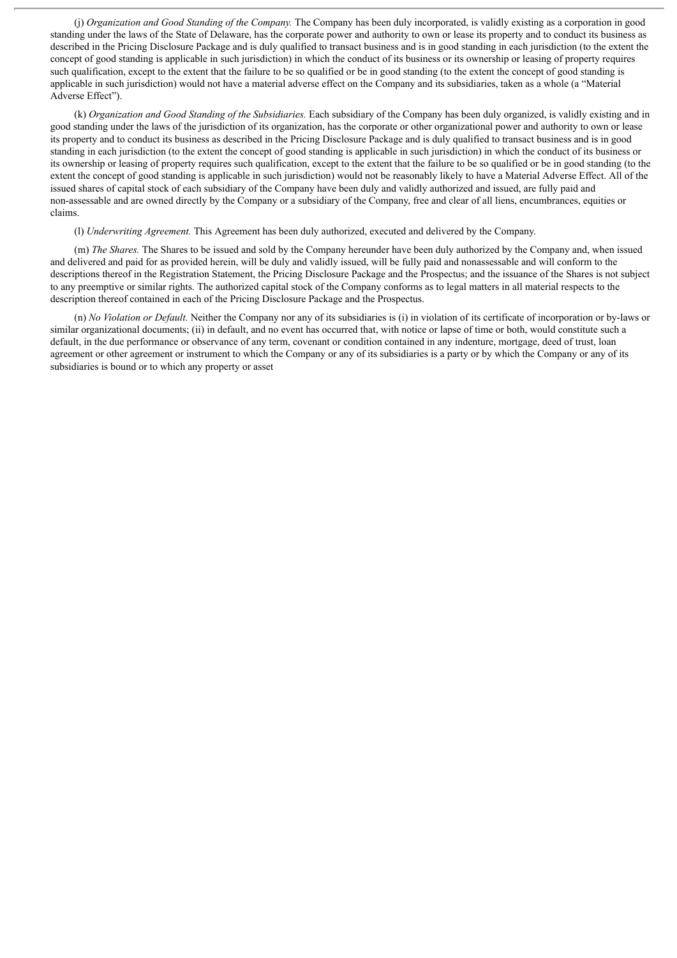(j) *Organization and Good Standing of the Company.* The Company has been duly incorporated, is validly existing as a corporation in good standing under the laws of the State of Delaware, has the corporate power and authority to own or lease its property and to conduct its business as described in the Pricing Disclosure Package and is duly qualified to transact business and is in good standing in each jurisdiction (to the extent the concept of good standing is applicable in such jurisdiction) in which the conduct of its business or its ownership or leasing of property requires such qualification, except to the extent that the failure to be so qualified or be in good standing (to the extent the concept of good standing is applicable in such jurisdiction) would not have a material adverse effect on the Company and its subsidiaries, taken as a whole (a "Material Adverse Effect").

(k) *Organization and Good Standing of the Subsidiaries.* Each subsidiary of the Company has been duly organized, is validly existing and in good standing under the laws of the jurisdiction of its organization, has the corporate or other organizational power and authority to own or lease its property and to conduct its business as described in the Pricing Disclosure Package and is duly qualified to transact business and is in good standing in each jurisdiction (to the extent the concept of good standing is applicable in such jurisdiction) in which the conduct of its business or its ownership or leasing of property requires such qualification, except to the extent that the failure to be so qualified or be in good standing (to the extent the concept of good standing is applicable in such jurisdiction) would not be reasonably likely to have a Material Adverse Effect. All of the issued shares of capital stock of each subsidiary of the Company have been duly and validly authorized and issued, are fully paid and non-assessable and are owned directly by the Company or a subsidiary of the Company, free and clear of all liens, encumbrances, equities or claims.

(l) *Underwriting Agreement.* This Agreement has been duly authorized, executed and delivered by the Company.

(m) *The Shares.* The Shares to be issued and sold by the Company hereunder have been duly authorized by the Company and, when issued and delivered and paid for as provided herein, will be duly and validly issued, will be fully paid and nonassessable and will conform to the descriptions thereof in the Registration Statement, the Pricing Disclosure Package and the Prospectus; and the issuance of the Shares is not subject to any preemptive or similar rights. The authorized capital stock of the Company conforms as to legal matters in all material respects to the description thereof contained in each of the Pricing Disclosure Package and the Prospectus.

(n) *No Violation or Default.* Neither the Company nor any of its subsidiaries is (i) in violation of its certificate of incorporation or by-laws or similar organizational documents; (ii) in default, and no event has occurred that, with notice or lapse of time or both, would constitute such a default, in the due performance or observance of any term, covenant or condition contained in any indenture, mortgage, deed of trust, loan agreement or other agreement or instrument to which the Company or any of its subsidiaries is a party or by which the Company or any of its subsidiaries is bound or to which any property or asset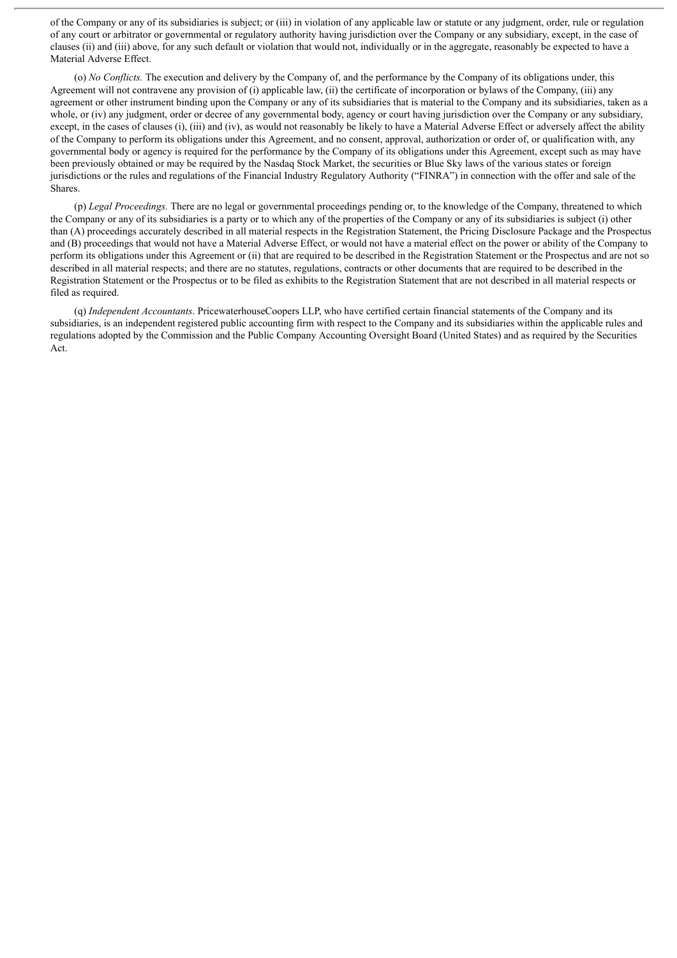of the Company or any of its subsidiaries is subject; or (iii) in violation of any applicable law or statute or any judgment, order, rule or regulation of any court or arbitrator or governmental or regulatory authority having jurisdiction over the Company or any subsidiary, except, in the case of clauses (ii) and (iii) above, for any such default or violation that would not, individually or in the aggregate, reasonably be expected to have a Material Adverse Effect.

(o) *No Conflicts.* The execution and delivery by the Company of, and the performance by the Company of its obligations under, this Agreement will not contravene any provision of (i) applicable law, (ii) the certificate of incorporation or bylaws of the Company, (iii) any agreement or other instrument binding upon the Company or any of its subsidiaries that is material to the Company and its subsidiaries, taken as a whole, or (iv) any judgment, order or decree of any governmental body, agency or court having jurisdiction over the Company or any subsidiary, except, in the cases of clauses (i), (iii) and (iv), as would not reasonably be likely to have a Material Adverse Effect or adversely affect the ability of the Company to perform its obligations under this Agreement, and no consent, approval, authorization or order of, or qualification with, any governmental body or agency is required for the performance by the Company of its obligations under this Agreement, except such as may have been previously obtained or may be required by the Nasdaq Stock Market, the securities or Blue Sky laws of the various states or foreign jurisdictions or the rules and regulations of the Financial Industry Regulatory Authority ("FINRA") in connection with the offer and sale of the Shares.

(p) *Legal Proceedings.* There are no legal or governmental proceedings pending or, to the knowledge of the Company, threatened to which the Company or any of its subsidiaries is a party or to which any of the properties of the Company or any of its subsidiaries is subject (i) other than (A) proceedings accurately described in all material respects in the Registration Statement, the Pricing Disclosure Package and the Prospectus and (B) proceedings that would not have a Material Adverse Effect, or would not have a material effect on the power or ability of the Company to perform its obligations under this Agreement or (ii) that are required to be described in the Registration Statement or the Prospectus and are not so described in all material respects; and there are no statutes, regulations, contracts or other documents that are required to be described in the Registration Statement or the Prospectus or to be filed as exhibits to the Registration Statement that are not described in all material respects or filed as required.

(q) *Independent Accountants*. PricewaterhouseCoopers LLP, who have certified certain financial statements of the Company and its subsidiaries, is an independent registered public accounting firm with respect to the Company and its subsidiaries within the applicable rules and regulations adopted by the Commission and the Public Company Accounting Oversight Board (United States) and as required by the Securities Act.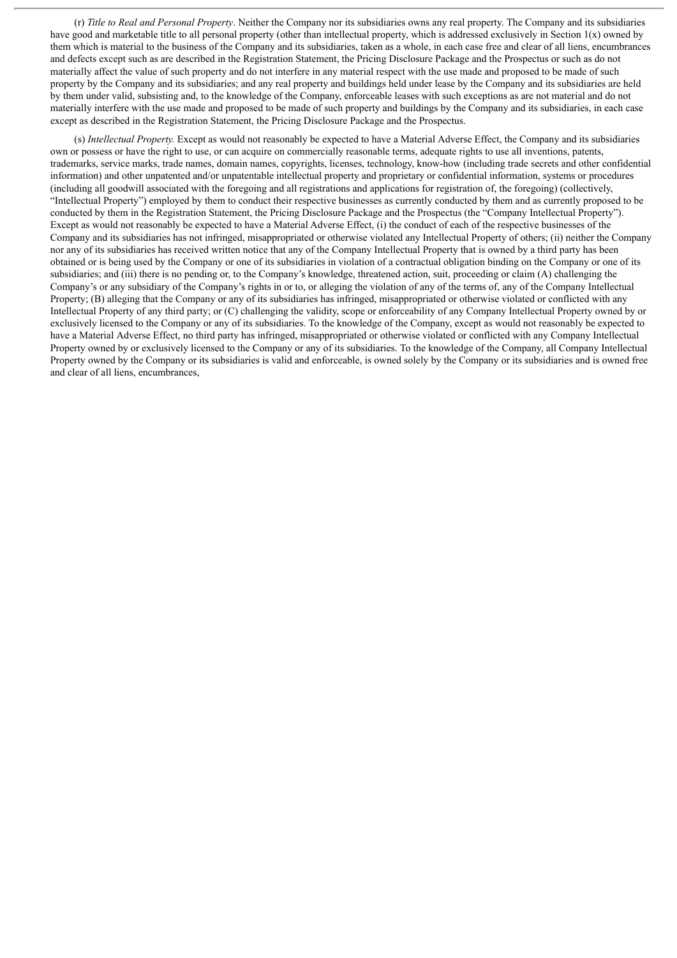(r) *Title to Real and Personal Property*. Neither the Company nor its subsidiaries owns any real property. The Company and its subsidiaries have good and marketable title to all personal property (other than intellectual property, which is addressed exclusively in Section 1(x) owned by them which is material to the business of the Company and its subsidiaries, taken as a whole, in each case free and clear of all liens, encumbrances and defects except such as are described in the Registration Statement, the Pricing Disclosure Package and the Prospectus or such as do not materially affect the value of such property and do not interfere in any material respect with the use made and proposed to be made of such property by the Company and its subsidiaries; and any real property and buildings held under lease by the Company and its subsidiaries are held by them under valid, subsisting and, to the knowledge of the Company, enforceable leases with such exceptions as are not material and do not materially interfere with the use made and proposed to be made of such property and buildings by the Company and its subsidiaries, in each case except as described in the Registration Statement, the Pricing Disclosure Package and the Prospectus.

(s) *Intellectual Property.* Except as would not reasonably be expected to have a Material Adverse Effect, the Company and its subsidiaries own or possess or have the right to use, or can acquire on commercially reasonable terms, adequate rights to use all inventions, patents, trademarks, service marks, trade names, domain names, copyrights, licenses, technology, know-how (including trade secrets and other confidential information) and other unpatented and/or unpatentable intellectual property and proprietary or confidential information, systems or procedures (including all goodwill associated with the foregoing and all registrations and applications for registration of, the foregoing) (collectively, "Intellectual Property") employed by them to conduct their respective businesses as currently conducted by them and as currently proposed to be conducted by them in the Registration Statement, the Pricing Disclosure Package and the Prospectus (the "Company Intellectual Property"). Except as would not reasonably be expected to have a Material Adverse Effect, (i) the conduct of each of the respective businesses of the Company and its subsidiaries has not infringed, misappropriated or otherwise violated any Intellectual Property of others; (ii) neither the Company nor any of its subsidiaries has received written notice that any of the Company Intellectual Property that is owned by a third party has been obtained or is being used by the Company or one of its subsidiaries in violation of a contractual obligation binding on the Company or one of its subsidiaries; and (iii) there is no pending or, to the Company's knowledge, threatened action, suit, proceeding or claim (A) challenging the Company's or any subsidiary of the Company's rights in or to, or alleging the violation of any of the terms of, any of the Company Intellectual Property; (B) alleging that the Company or any of its subsidiaries has infringed, misappropriated or otherwise violated or conflicted with any Intellectual Property of any third party; or (C) challenging the validity, scope or enforceability of any Company Intellectual Property owned by or exclusively licensed to the Company or any of its subsidiaries. To the knowledge of the Company, except as would not reasonably be expected to have a Material Adverse Effect, no third party has infringed, misappropriated or otherwise violated or conflicted with any Company Intellectual Property owned by or exclusively licensed to the Company or any of its subsidiaries. To the knowledge of the Company, all Company Intellectual Property owned by the Company or its subsidiaries is valid and enforceable, is owned solely by the Company or its subsidiaries and is owned free and clear of all liens, encumbrances,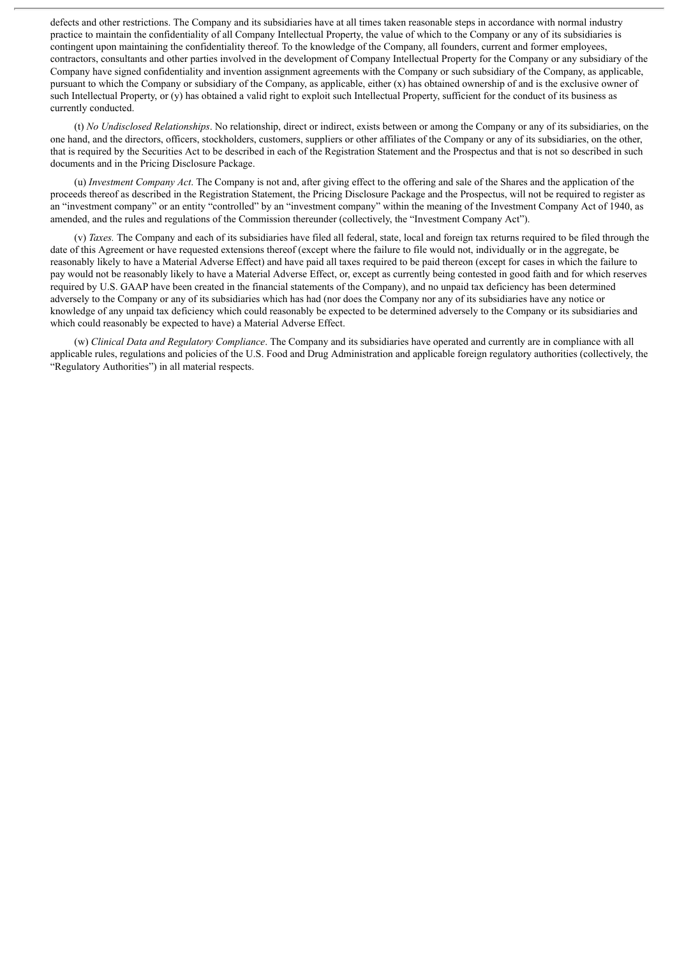defects and other restrictions. The Company and its subsidiaries have at all times taken reasonable steps in accordance with normal industry practice to maintain the confidentiality of all Company Intellectual Property, the value of which to the Company or any of its subsidiaries is contingent upon maintaining the confidentiality thereof. To the knowledge of the Company, all founders, current and former employees, contractors, consultants and other parties involved in the development of Company Intellectual Property for the Company or any subsidiary of the Company have signed confidentiality and invention assignment agreements with the Company or such subsidiary of the Company, as applicable, pursuant to which the Company or subsidiary of the Company, as applicable, either (x) has obtained ownership of and is the exclusive owner of such Intellectual Property, or (y) has obtained a valid right to exploit such Intellectual Property, sufficient for the conduct of its business as currently conducted.

(t) *No Undisclosed Relationships*. No relationship, direct or indirect, exists between or among the Company or any of its subsidiaries, on the one hand, and the directors, officers, stockholders, customers, suppliers or other affiliates of the Company or any of its subsidiaries, on the other, that is required by the Securities Act to be described in each of the Registration Statement and the Prospectus and that is not so described in such documents and in the Pricing Disclosure Package.

(u) *Investment Company Act*. The Company is not and, after giving effect to the offering and sale of the Shares and the application of the proceeds thereof as described in the Registration Statement, the Pricing Disclosure Package and the Prospectus, will not be required to register as an "investment company" or an entity "controlled" by an "investment company" within the meaning of the Investment Company Act of 1940, as amended, and the rules and regulations of the Commission thereunder (collectively, the "Investment Company Act").

(v) *Taxes.* The Company and each of its subsidiaries have filed all federal, state, local and foreign tax returns required to be filed through the date of this Agreement or have requested extensions thereof (except where the failure to file would not, individually or in the aggregate, be reasonably likely to have a Material Adverse Effect) and have paid all taxes required to be paid thereon (except for cases in which the failure to pay would not be reasonably likely to have a Material Adverse Effect, or, except as currently being contested in good faith and for which reserves required by U.S. GAAP have been created in the financial statements of the Company), and no unpaid tax deficiency has been determined adversely to the Company or any of its subsidiaries which has had (nor does the Company nor any of its subsidiaries have any notice or knowledge of any unpaid tax deficiency which could reasonably be expected to be determined adversely to the Company or its subsidiaries and which could reasonably be expected to have) a Material Adverse Effect.

(w) *Clinical Data and Regulatory Compliance*. The Company and its subsidiaries have operated and currently are in compliance with all applicable rules, regulations and policies of the U.S. Food and Drug Administration and applicable foreign regulatory authorities (collectively, the "Regulatory Authorities") in all material respects.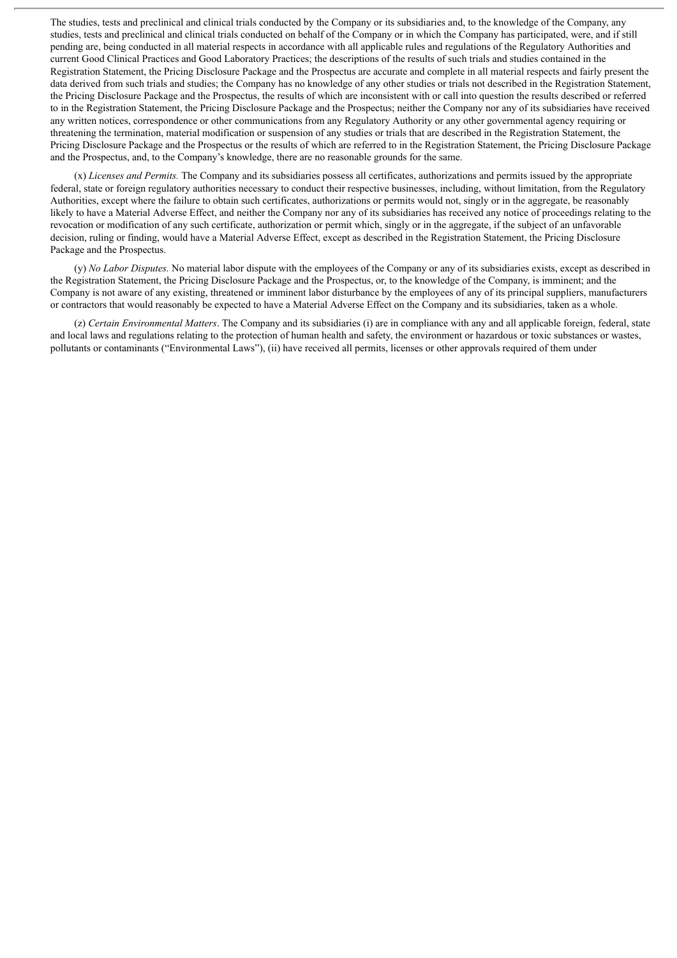The studies, tests and preclinical and clinical trials conducted by the Company or its subsidiaries and, to the knowledge of the Company, any studies, tests and preclinical and clinical trials conducted on behalf of the Company or in which the Company has participated, were, and if still pending are, being conducted in all material respects in accordance with all applicable rules and regulations of the Regulatory Authorities and current Good Clinical Practices and Good Laboratory Practices; the descriptions of the results of such trials and studies contained in the Registration Statement, the Pricing Disclosure Package and the Prospectus are accurate and complete in all material respects and fairly present the data derived from such trials and studies; the Company has no knowledge of any other studies or trials not described in the Registration Statement, the Pricing Disclosure Package and the Prospectus, the results of which are inconsistent with or call into question the results described or referred to in the Registration Statement, the Pricing Disclosure Package and the Prospectus; neither the Company nor any of its subsidiaries have received any written notices, correspondence or other communications from any Regulatory Authority or any other governmental agency requiring or threatening the termination, material modification or suspension of any studies or trials that are described in the Registration Statement, the Pricing Disclosure Package and the Prospectus or the results of which are referred to in the Registration Statement, the Pricing Disclosure Package and the Prospectus, and, to the Company's knowledge, there are no reasonable grounds for the same.

(x) *Licenses and Permits.* The Company and its subsidiaries possess all certificates, authorizations and permits issued by the appropriate federal, state or foreign regulatory authorities necessary to conduct their respective businesses, including, without limitation, from the Regulatory Authorities, except where the failure to obtain such certificates, authorizations or permits would not, singly or in the aggregate, be reasonably likely to have a Material Adverse Effect, and neither the Company nor any of its subsidiaries has received any notice of proceedings relating to the revocation or modification of any such certificate, authorization or permit which, singly or in the aggregate, if the subject of an unfavorable decision, ruling or finding, would have a Material Adverse Effect, except as described in the Registration Statement, the Pricing Disclosure Package and the Prospectus.

(y) *No Labor Disputes.* No material labor dispute with the employees of the Company or any of its subsidiaries exists, except as described in the Registration Statement, the Pricing Disclosure Package and the Prospectus, or, to the knowledge of the Company, is imminent; and the Company is not aware of any existing, threatened or imminent labor disturbance by the employees of any of its principal suppliers, manufacturers or contractors that would reasonably be expected to have a Material Adverse Effect on the Company and its subsidiaries, taken as a whole.

(z) *Certain Environmental Matters*. The Company and its subsidiaries (i) are in compliance with any and all applicable foreign, federal, state and local laws and regulations relating to the protection of human health and safety, the environment or hazardous or toxic substances or wastes, pollutants or contaminants ("Environmental Laws"), (ii) have received all permits, licenses or other approvals required of them under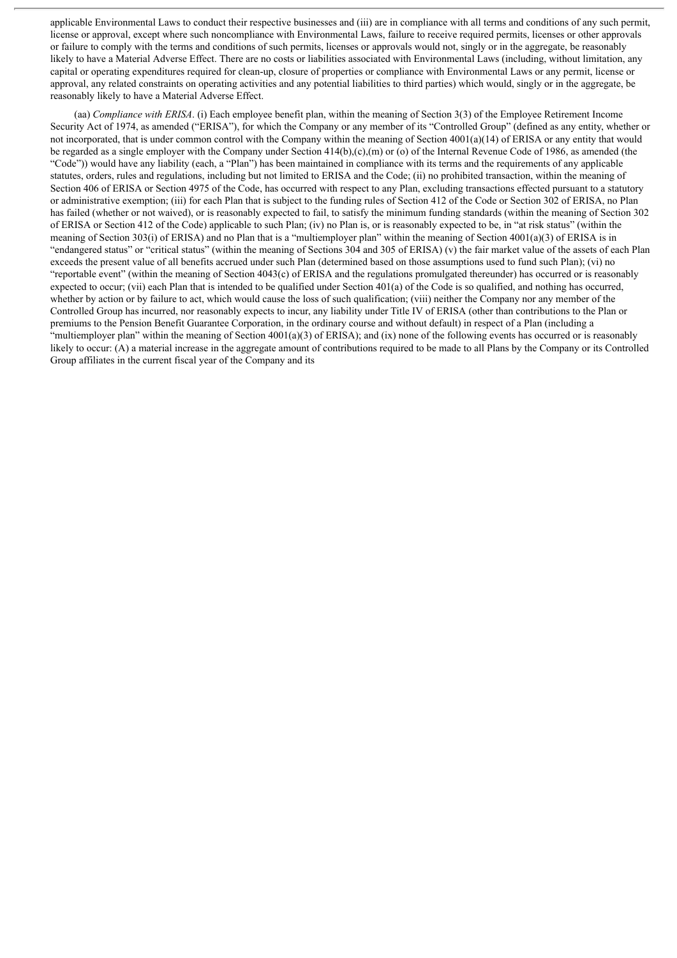applicable Environmental Laws to conduct their respective businesses and (iii) are in compliance with all terms and conditions of any such permit, license or approval, except where such noncompliance with Environmental Laws, failure to receive required permits, licenses or other approvals or failure to comply with the terms and conditions of such permits, licenses or approvals would not, singly or in the aggregate, be reasonably likely to have a Material Adverse Effect. There are no costs or liabilities associated with Environmental Laws (including, without limitation, any capital or operating expenditures required for clean-up, closure of properties or compliance with Environmental Laws or any permit, license or approval, any related constraints on operating activities and any potential liabilities to third parties) which would, singly or in the aggregate, be reasonably likely to have a Material Adverse Effect.

(aa) *Compliance with ERISA*. (i) Each employee benefit plan, within the meaning of Section 3(3) of the Employee Retirement Income Security Act of 1974, as amended ("ERISA"), for which the Company or any member of its "Controlled Group" (defined as any entity, whether or not incorporated, that is under common control with the Company within the meaning of Section 4001(a)(14) of ERISA or any entity that would be regarded as a single employer with the Company under Section 414(b),(c),(m) or (o) of the Internal Revenue Code of 1986, as amended (the "Code")) would have any liability (each, a "Plan") has been maintained in compliance with its terms and the requirements of any applicable statutes, orders, rules and regulations, including but not limited to ERISA and the Code; (ii) no prohibited transaction, within the meaning of Section 406 of ERISA or Section 4975 of the Code, has occurred with respect to any Plan, excluding transactions effected pursuant to a statutory or administrative exemption; (iii) for each Plan that is subject to the funding rules of Section 412 of the Code or Section 302 of ERISA, no Plan has failed (whether or not waived), or is reasonably expected to fail, to satisfy the minimum funding standards (within the meaning of Section 302 of ERISA or Section 412 of the Code) applicable to such Plan; (iv) no Plan is, or is reasonably expected to be, in "at risk status" (within the meaning of Section 303(i) of ERISA) and no Plan that is a "multiemployer plan" within the meaning of Section 4001(a)(3) of ERISA is in "endangered status" or "critical status" (within the meaning of Sections 304 and 305 of ERISA) (v) the fair market value of the assets of each Plan exceeds the present value of all benefits accrued under such Plan (determined based on those assumptions used to fund such Plan); (vi) no "reportable event" (within the meaning of Section 4043(c) of ERISA and the regulations promulgated thereunder) has occurred or is reasonably expected to occur; (vii) each Plan that is intended to be qualified under Section 401(a) of the Code is so qualified, and nothing has occurred, whether by action or by failure to act, which would cause the loss of such qualification; (viii) neither the Company nor any member of the Controlled Group has incurred, nor reasonably expects to incur, any liability under Title IV of ERISA (other than contributions to the Plan or premiums to the Pension Benefit Guarantee Corporation, in the ordinary course and without default) in respect of a Plan (including a "multiemployer plan" within the meaning of Section  $4001(a)(3)$  of ERISA); and (ix) none of the following events has occurred or is reasonably likely to occur: (A) a material increase in the aggregate amount of contributions required to be made to all Plans by the Company or its Controlled Group affiliates in the current fiscal year of the Company and its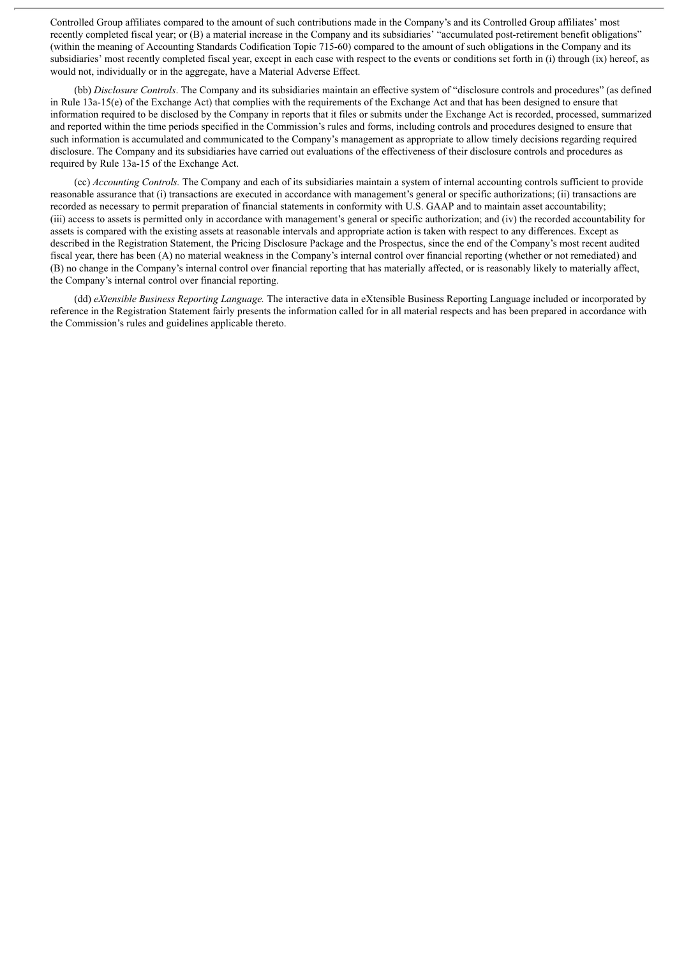Controlled Group affiliates compared to the amount of such contributions made in the Company's and its Controlled Group affiliates' most recently completed fiscal year; or (B) a material increase in the Company and its subsidiaries' "accumulated post-retirement benefit obligations" (within the meaning of Accounting Standards Codification Topic 715-60) compared to the amount of such obligations in the Company and its subsidiaries' most recently completed fiscal year, except in each case with respect to the events or conditions set forth in (i) through (ix) hereof, as would not, individually or in the aggregate, have a Material Adverse Effect.

(bb) *Disclosure Controls*. The Company and its subsidiaries maintain an effective system of "disclosure controls and procedures" (as defined in Rule 13a-15(e) of the Exchange Act) that complies with the requirements of the Exchange Act and that has been designed to ensure that information required to be disclosed by the Company in reports that it files or submits under the Exchange Act is recorded, processed, summarized and reported within the time periods specified in the Commission's rules and forms, including controls and procedures designed to ensure that such information is accumulated and communicated to the Company's management as appropriate to allow timely decisions regarding required disclosure. The Company and its subsidiaries have carried out evaluations of the effectiveness of their disclosure controls and procedures as required by Rule 13a-15 of the Exchange Act.

(cc) *Accounting Controls.* The Company and each of its subsidiaries maintain a system of internal accounting controls sufficient to provide reasonable assurance that (i) transactions are executed in accordance with management's general or specific authorizations; (ii) transactions are recorded as necessary to permit preparation of financial statements in conformity with U.S. GAAP and to maintain asset accountability; (iii) access to assets is permitted only in accordance with management's general or specific authorization; and (iv) the recorded accountability for assets is compared with the existing assets at reasonable intervals and appropriate action is taken with respect to any differences. Except as described in the Registration Statement, the Pricing Disclosure Package and the Prospectus, since the end of the Company's most recent audited fiscal year, there has been (A) no material weakness in the Company's internal control over financial reporting (whether or not remediated) and (B) no change in the Company's internal control over financial reporting that has materially affected, or is reasonably likely to materially affect, the Company's internal control over financial reporting.

(dd) *eXtensible Business Reporting Language.* The interactive data in eXtensible Business Reporting Language included or incorporated by reference in the Registration Statement fairly presents the information called for in all material respects and has been prepared in accordance with the Commission's rules and guidelines applicable thereto.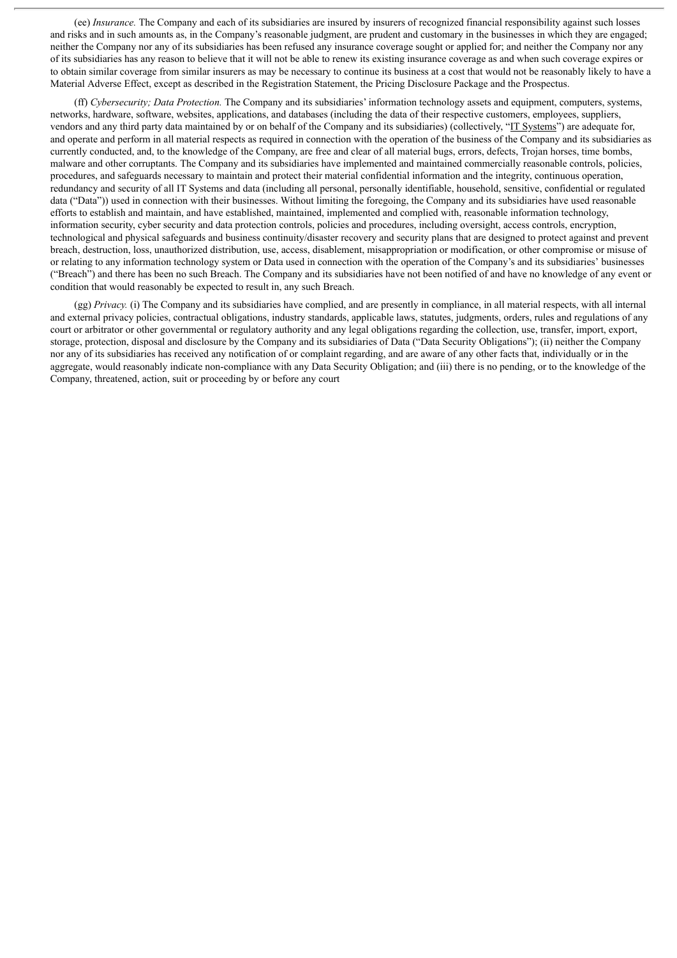(ee) *Insurance.* The Company and each of its subsidiaries are insured by insurers of recognized financial responsibility against such losses and risks and in such amounts as, in the Company's reasonable judgment, are prudent and customary in the businesses in which they are engaged; neither the Company nor any of its subsidiaries has been refused any insurance coverage sought or applied for; and neither the Company nor any of its subsidiaries has any reason to believe that it will not be able to renew its existing insurance coverage as and when such coverage expires or to obtain similar coverage from similar insurers as may be necessary to continue its business at a cost that would not be reasonably likely to have a Material Adverse Effect, except as described in the Registration Statement, the Pricing Disclosure Package and the Prospectus.

(ff) *Cybersecurity; Data Protection.* The Company and its subsidiaries' information technology assets and equipment, computers, systems, networks, hardware, software, websites, applications, and databases (including the data of their respective customers, employees, suppliers, vendors and any third party data maintained by or on behalf of the Company and its subsidiaries) (collectively, "IT Systems") are adequate for, and operate and perform in all material respects as required in connection with the operation of the business of the Company and its subsidiaries as currently conducted, and, to the knowledge of the Company, are free and clear of all material bugs, errors, defects, Trojan horses, time bombs, malware and other corruptants. The Company and its subsidiaries have implemented and maintained commercially reasonable controls, policies, procedures, and safeguards necessary to maintain and protect their material confidential information and the integrity, continuous operation, redundancy and security of all IT Systems and data (including all personal, personally identifiable, household, sensitive, confidential or regulated data ("Data")) used in connection with their businesses. Without limiting the foregoing, the Company and its subsidiaries have used reasonable efforts to establish and maintain, and have established, maintained, implemented and complied with, reasonable information technology, information security, cyber security and data protection controls, policies and procedures, including oversight, access controls, encryption, technological and physical safeguards and business continuity/disaster recovery and security plans that are designed to protect against and prevent breach, destruction, loss, unauthorized distribution, use, access, disablement, misappropriation or modification, or other compromise or misuse of or relating to any information technology system or Data used in connection with the operation of the Company's and its subsidiaries' businesses ("Breach") and there has been no such Breach. The Company and its subsidiaries have not been notified of and have no knowledge of any event or condition that would reasonably be expected to result in, any such Breach.

(gg) *Privacy.* (i) The Company and its subsidiaries have complied, and are presently in compliance, in all material respects, with all internal and external privacy policies, contractual obligations, industry standards, applicable laws, statutes, judgments, orders, rules and regulations of any court or arbitrator or other governmental or regulatory authority and any legal obligations regarding the collection, use, transfer, import, export, storage, protection, disposal and disclosure by the Company and its subsidiaries of Data ("Data Security Obligations"); (ii) neither the Company nor any of its subsidiaries has received any notification of or complaint regarding, and are aware of any other facts that, individually or in the aggregate, would reasonably indicate non-compliance with any Data Security Obligation; and (iii) there is no pending, or to the knowledge of the Company, threatened, action, suit or proceeding by or before any court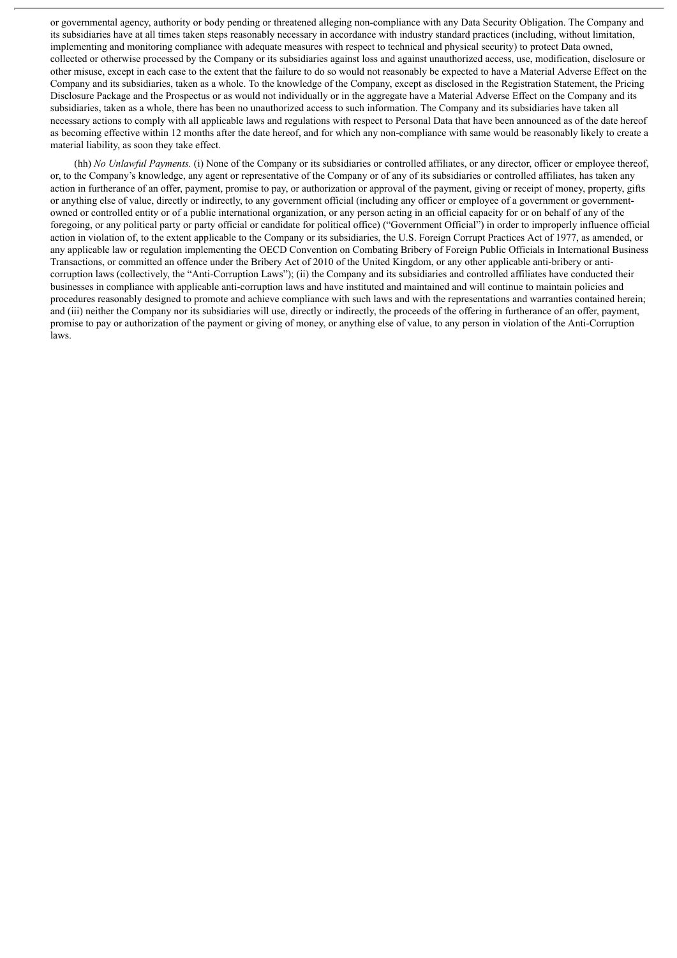or governmental agency, authority or body pending or threatened alleging non-compliance with any Data Security Obligation. The Company and its subsidiaries have at all times taken steps reasonably necessary in accordance with industry standard practices (including, without limitation, implementing and monitoring compliance with adequate measures with respect to technical and physical security) to protect Data owned, collected or otherwise processed by the Company or its subsidiaries against loss and against unauthorized access, use, modification, disclosure or other misuse, except in each case to the extent that the failure to do so would not reasonably be expected to have a Material Adverse Effect on the Company and its subsidiaries, taken as a whole. To the knowledge of the Company, except as disclosed in the Registration Statement, the Pricing Disclosure Package and the Prospectus or as would not individually or in the aggregate have a Material Adverse Effect on the Company and its subsidiaries, taken as a whole, there has been no unauthorized access to such information. The Company and its subsidiaries have taken all necessary actions to comply with all applicable laws and regulations with respect to Personal Data that have been announced as of the date hereof as becoming effective within 12 months after the date hereof, and for which any non-compliance with same would be reasonably likely to create a material liability, as soon they take effect.

(hh) *No Unlawful Payments.* (i) None of the Company or its subsidiaries or controlled affiliates, or any director, officer or employee thereof, or, to the Company's knowledge, any agent or representative of the Company or of any of its subsidiaries or controlled affiliates, has taken any action in furtherance of an offer, payment, promise to pay, or authorization or approval of the payment, giving or receipt of money, property, gifts or anything else of value, directly or indirectly, to any government official (including any officer or employee of a government or governmentowned or controlled entity or of a public international organization, or any person acting in an official capacity for or on behalf of any of the foregoing, or any political party or party official or candidate for political office) ("Government Official") in order to improperly influence official action in violation of, to the extent applicable to the Company or its subsidiaries, the U.S. Foreign Corrupt Practices Act of 1977, as amended, or any applicable law or regulation implementing the OECD Convention on Combating Bribery of Foreign Public Officials in International Business Transactions, or committed an offence under the Bribery Act of 2010 of the United Kingdom, or any other applicable anti-bribery or anticorruption laws (collectively, the "Anti-Corruption Laws"); (ii) the Company and its subsidiaries and controlled affiliates have conducted their businesses in compliance with applicable anti-corruption laws and have instituted and maintained and will continue to maintain policies and procedures reasonably designed to promote and achieve compliance with such laws and with the representations and warranties contained herein; and (iii) neither the Company nor its subsidiaries will use, directly or indirectly, the proceeds of the offering in furtherance of an offer, payment, promise to pay or authorization of the payment or giving of money, or anything else of value, to any person in violation of the Anti-Corruption laws.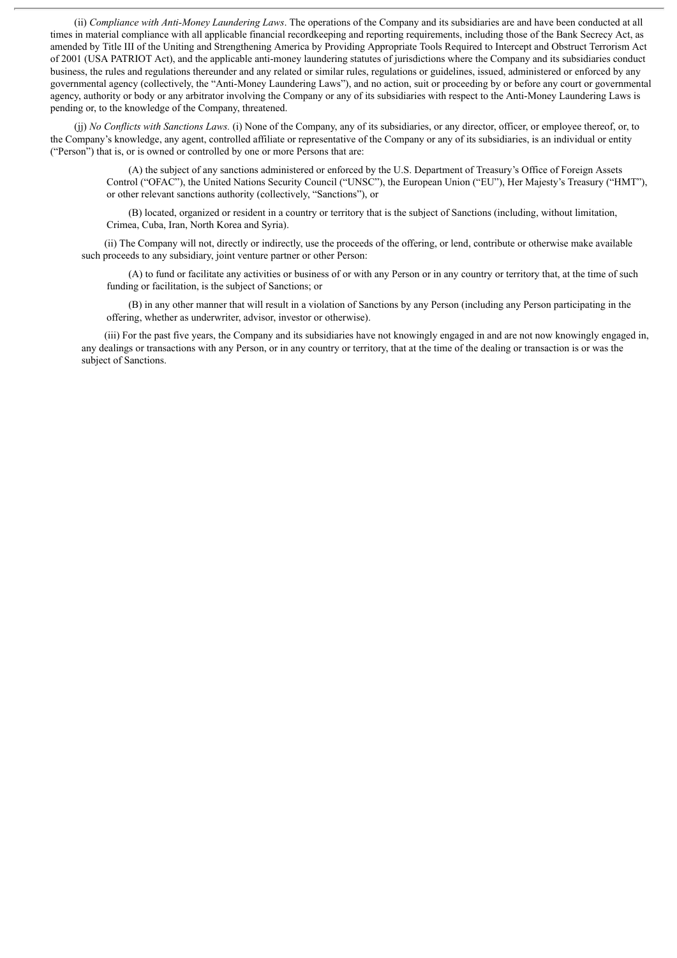(ii) *Compliance with Anti-Money Laundering Laws*. The operations of the Company and its subsidiaries are and have been conducted at all times in material compliance with all applicable financial recordkeeping and reporting requirements, including those of the Bank Secrecy Act, as amended by Title III of the Uniting and Strengthening America by Providing Appropriate Tools Required to Intercept and Obstruct Terrorism Act of 2001 (USA PATRIOT Act), and the applicable anti-money laundering statutes of jurisdictions where the Company and its subsidiaries conduct business, the rules and regulations thereunder and any related or similar rules, regulations or guidelines, issued, administered or enforced by any governmental agency (collectively, the "Anti-Money Laundering Laws"), and no action, suit or proceeding by or before any court or governmental agency, authority or body or any arbitrator involving the Company or any of its subsidiaries with respect to the Anti-Money Laundering Laws is pending or, to the knowledge of the Company, threatened.

(jj) *No Conflicts with Sanctions Laws.* (i) None of the Company, any of its subsidiaries, or any director, officer, or employee thereof, or, to the Company's knowledge, any agent, controlled affiliate or representative of the Company or any of its subsidiaries, is an individual or entity ("Person") that is, or is owned or controlled by one or more Persons that are:

(A) the subject of any sanctions administered or enforced by the U.S. Department of Treasury's Office of Foreign Assets Control ("OFAC"), the United Nations Security Council ("UNSC"), the European Union ("EU"), Her Majesty's Treasury ("HMT"), or other relevant sanctions authority (collectively, "Sanctions"), or

(B) located, organized or resident in a country or territory that is the subject of Sanctions (including, without limitation, Crimea, Cuba, Iran, North Korea and Syria).

(ii) The Company will not, directly or indirectly, use the proceeds of the offering, or lend, contribute or otherwise make available such proceeds to any subsidiary, joint venture partner or other Person:

(A) to fund or facilitate any activities or business of or with any Person or in any country or territory that, at the time of such funding or facilitation, is the subject of Sanctions; or

(B) in any other manner that will result in a violation of Sanctions by any Person (including any Person participating in the offering, whether as underwriter, advisor, investor or otherwise).

(iii) For the past five years, the Company and its subsidiaries have not knowingly engaged in and are not now knowingly engaged in, any dealings or transactions with any Person, or in any country or territory, that at the time of the dealing or transaction is or was the subject of Sanctions.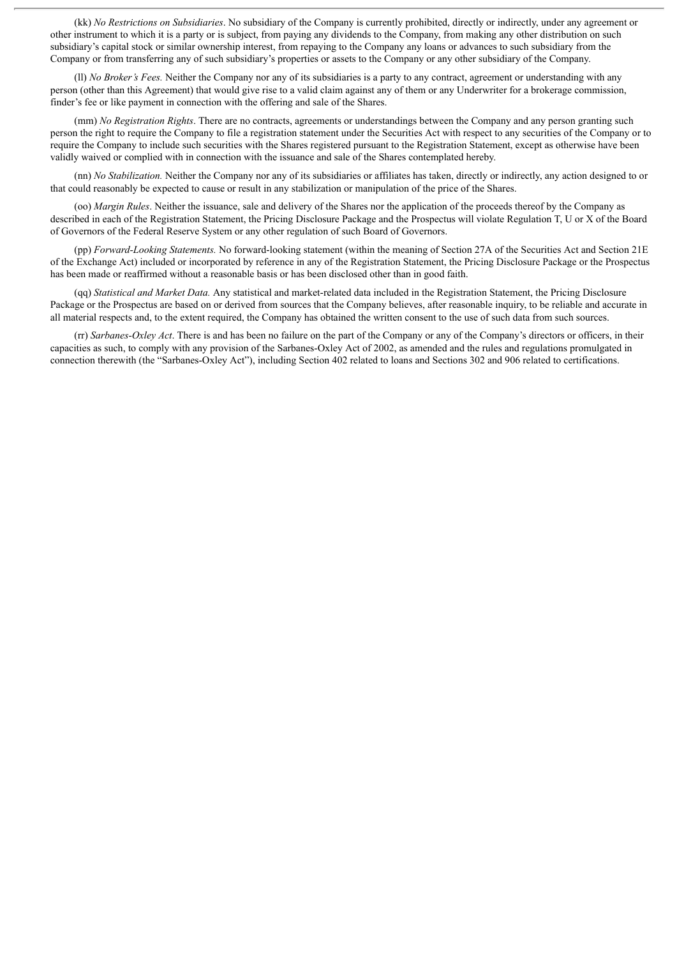(kk) *No Restrictions on Subsidiaries*. No subsidiary of the Company is currently prohibited, directly or indirectly, under any agreement or other instrument to which it is a party or is subject, from paying any dividends to the Company, from making any other distribution on such subsidiary's capital stock or similar ownership interest, from repaying to the Company any loans or advances to such subsidiary from the Company or from transferring any of such subsidiary's properties or assets to the Company or any other subsidiary of the Company.

(ll) *No Broker's Fees.* Neither the Company nor any of its subsidiaries is a party to any contract, agreement or understanding with any person (other than this Agreement) that would give rise to a valid claim against any of them or any Underwriter for a brokerage commission, finder's fee or like payment in connection with the offering and sale of the Shares.

(mm) *No Registration Rights*. There are no contracts, agreements or understandings between the Company and any person granting such person the right to require the Company to file a registration statement under the Securities Act with respect to any securities of the Company or to require the Company to include such securities with the Shares registered pursuant to the Registration Statement, except as otherwise have been validly waived or complied with in connection with the issuance and sale of the Shares contemplated hereby.

(nn) *No Stabilization.* Neither the Company nor any of its subsidiaries or affiliates has taken, directly or indirectly, any action designed to or that could reasonably be expected to cause or result in any stabilization or manipulation of the price of the Shares.

(oo) *Margin Rules*. Neither the issuance, sale and delivery of the Shares nor the application of the proceeds thereof by the Company as described in each of the Registration Statement, the Pricing Disclosure Package and the Prospectus will violate Regulation T, U or X of the Board of Governors of the Federal Reserve System or any other regulation of such Board of Governors.

(pp) *Forward-Looking Statements.* No forward-looking statement (within the meaning of Section 27A of the Securities Act and Section 21E of the Exchange Act) included or incorporated by reference in any of the Registration Statement, the Pricing Disclosure Package or the Prospectus has been made or reaffirmed without a reasonable basis or has been disclosed other than in good faith.

(qq) *Statistical and Market Data.* Any statistical and market-related data included in the Registration Statement, the Pricing Disclosure Package or the Prospectus are based on or derived from sources that the Company believes, after reasonable inquiry, to be reliable and accurate in all material respects and, to the extent required, the Company has obtained the written consent to the use of such data from such sources.

(rr) *Sarbanes-Oxley Act*. There is and has been no failure on the part of the Company or any of the Company's directors or officers, in their capacities as such, to comply with any provision of the Sarbanes-Oxley Act of 2002, as amended and the rules and regulations promulgated in connection therewith (the "Sarbanes-Oxley Act"), including Section 402 related to loans and Sections 302 and 906 related to certifications.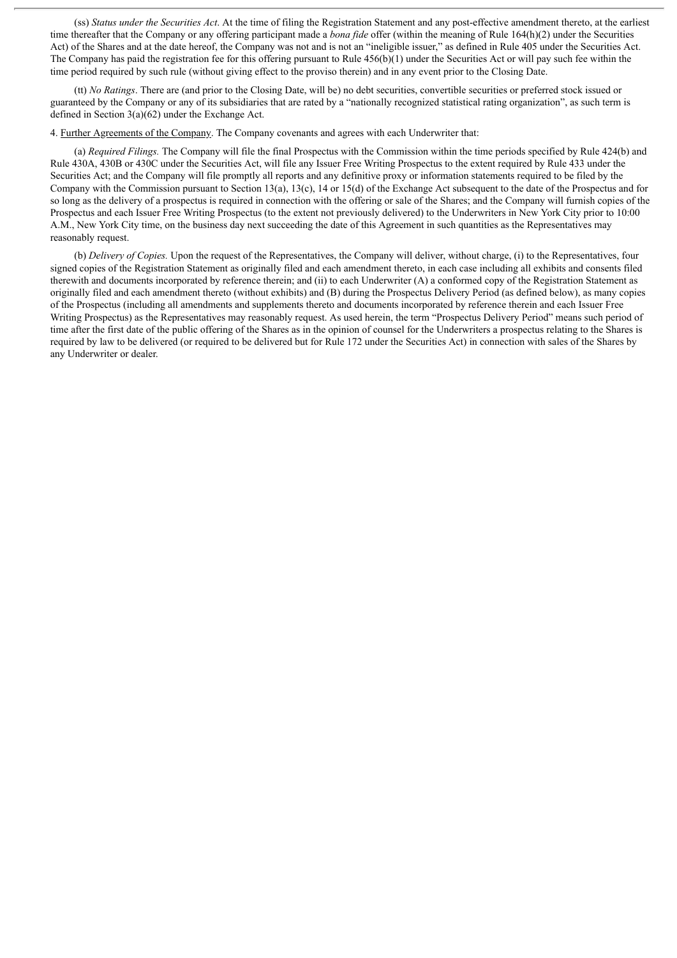(ss) *Status under the Securities Act*. At the time of filing the Registration Statement and any post-effective amendment thereto, at the earliest time thereafter that the Company or any offering participant made a *bona fide* offer (within the meaning of Rule 164(h)(2) under the Securities Act) of the Shares and at the date hereof, the Company was not and is not an "ineligible issuer," as defined in Rule 405 under the Securities Act. The Company has paid the registration fee for this offering pursuant to Rule  $456(b)(1)$  under the Securities Act or will pay such fee within the time period required by such rule (without giving effect to the proviso therein) and in any event prior to the Closing Date.

(tt) *No Ratings*. There are (and prior to the Closing Date, will be) no debt securities, convertible securities or preferred stock issued or guaranteed by the Company or any of its subsidiaries that are rated by a "nationally recognized statistical rating organization", as such term is defined in Section 3(a)(62) under the Exchange Act.

4. Further Agreements of the Company. The Company covenants and agrees with each Underwriter that:

(a) *Required Filings.* The Company will file the final Prospectus with the Commission within the time periods specified by Rule 424(b) and Rule 430A, 430B or 430C under the Securities Act, will file any Issuer Free Writing Prospectus to the extent required by Rule 433 under the Securities Act; and the Company will file promptly all reports and any definitive proxy or information statements required to be filed by the Company with the Commission pursuant to Section 13(a), 13(c), 14 or 15(d) of the Exchange Act subsequent to the date of the Prospectus and for so long as the delivery of a prospectus is required in connection with the offering or sale of the Shares; and the Company will furnish copies of the Prospectus and each Issuer Free Writing Prospectus (to the extent not previously delivered) to the Underwriters in New York City prior to 10:00 A.M., New York City time, on the business day next succeeding the date of this Agreement in such quantities as the Representatives may reasonably request.

(b) *Delivery of Copies.* Upon the request of the Representatives, the Company will deliver, without charge, (i) to the Representatives, four signed copies of the Registration Statement as originally filed and each amendment thereto, in each case including all exhibits and consents filed therewith and documents incorporated by reference therein; and (ii) to each Underwriter (A) a conformed copy of the Registration Statement as originally filed and each amendment thereto (without exhibits) and (B) during the Prospectus Delivery Period (as defined below), as many copies of the Prospectus (including all amendments and supplements thereto and documents incorporated by reference therein and each Issuer Free Writing Prospectus) as the Representatives may reasonably request. As used herein, the term "Prospectus Delivery Period" means such period of time after the first date of the public offering of the Shares as in the opinion of counsel for the Underwriters a prospectus relating to the Shares is required by law to be delivered (or required to be delivered but for Rule 172 under the Securities Act) in connection with sales of the Shares by any Underwriter or dealer.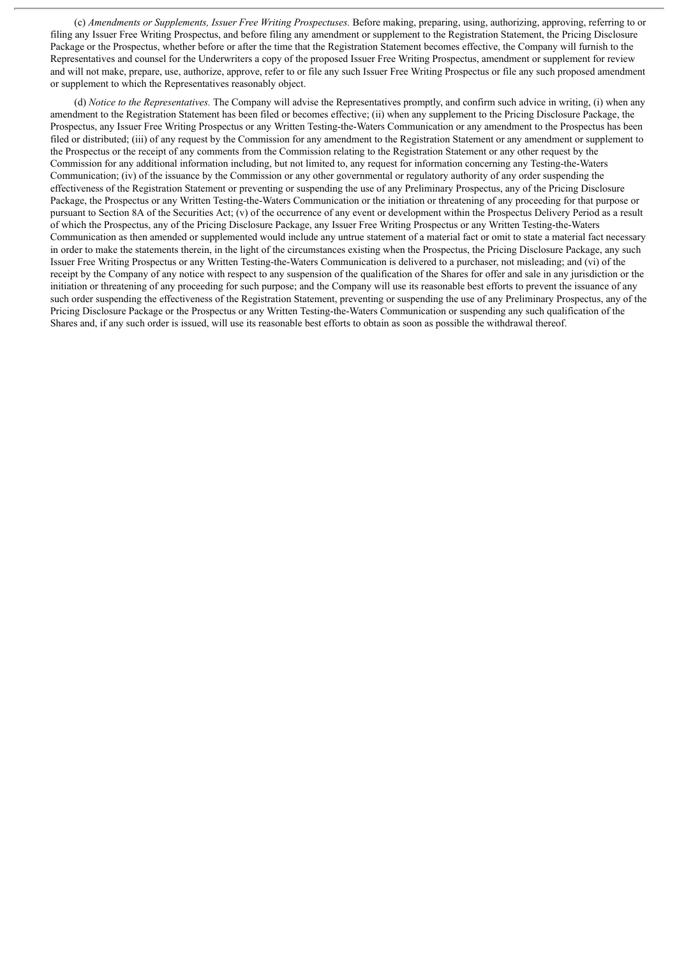(c) *Amendments or Supplements, Issuer Free Writing Prospectuses.* Before making, preparing, using, authorizing, approving, referring to or filing any Issuer Free Writing Prospectus, and before filing any amendment or supplement to the Registration Statement, the Pricing Disclosure Package or the Prospectus, whether before or after the time that the Registration Statement becomes effective, the Company will furnish to the Representatives and counsel for the Underwriters a copy of the proposed Issuer Free Writing Prospectus, amendment or supplement for review and will not make, prepare, use, authorize, approve, refer to or file any such Issuer Free Writing Prospectus or file any such proposed amendment or supplement to which the Representatives reasonably object.

(d) *Notice to the Representatives.* The Company will advise the Representatives promptly, and confirm such advice in writing, (i) when any amendment to the Registration Statement has been filed or becomes effective; (ii) when any supplement to the Pricing Disclosure Package, the Prospectus, any Issuer Free Writing Prospectus or any Written Testing-the-Waters Communication or any amendment to the Prospectus has been filed or distributed; (iii) of any request by the Commission for any amendment to the Registration Statement or any amendment or supplement to the Prospectus or the receipt of any comments from the Commission relating to the Registration Statement or any other request by the Commission for any additional information including, but not limited to, any request for information concerning any Testing-the-Waters Communication; (iv) of the issuance by the Commission or any other governmental or regulatory authority of any order suspending the effectiveness of the Registration Statement or preventing or suspending the use of any Preliminary Prospectus, any of the Pricing Disclosure Package, the Prospectus or any Written Testing-the-Waters Communication or the initiation or threatening of any proceeding for that purpose or pursuant to Section 8A of the Securities Act; (v) of the occurrence of any event or development within the Prospectus Delivery Period as a result of which the Prospectus, any of the Pricing Disclosure Package, any Issuer Free Writing Prospectus or any Written Testing-the-Waters Communication as then amended or supplemented would include any untrue statement of a material fact or omit to state a material fact necessary in order to make the statements therein, in the light of the circumstances existing when the Prospectus, the Pricing Disclosure Package, any such Issuer Free Writing Prospectus or any Written Testing-the-Waters Communication is delivered to a purchaser, not misleading; and (vi) of the receipt by the Company of any notice with respect to any suspension of the qualification of the Shares for offer and sale in any jurisdiction or the initiation or threatening of any proceeding for such purpose; and the Company will use its reasonable best efforts to prevent the issuance of any such order suspending the effectiveness of the Registration Statement, preventing or suspending the use of any Preliminary Prospectus, any of the Pricing Disclosure Package or the Prospectus or any Written Testing-the-Waters Communication or suspending any such qualification of the Shares and, if any such order is issued, will use its reasonable best efforts to obtain as soon as possible the withdrawal thereof.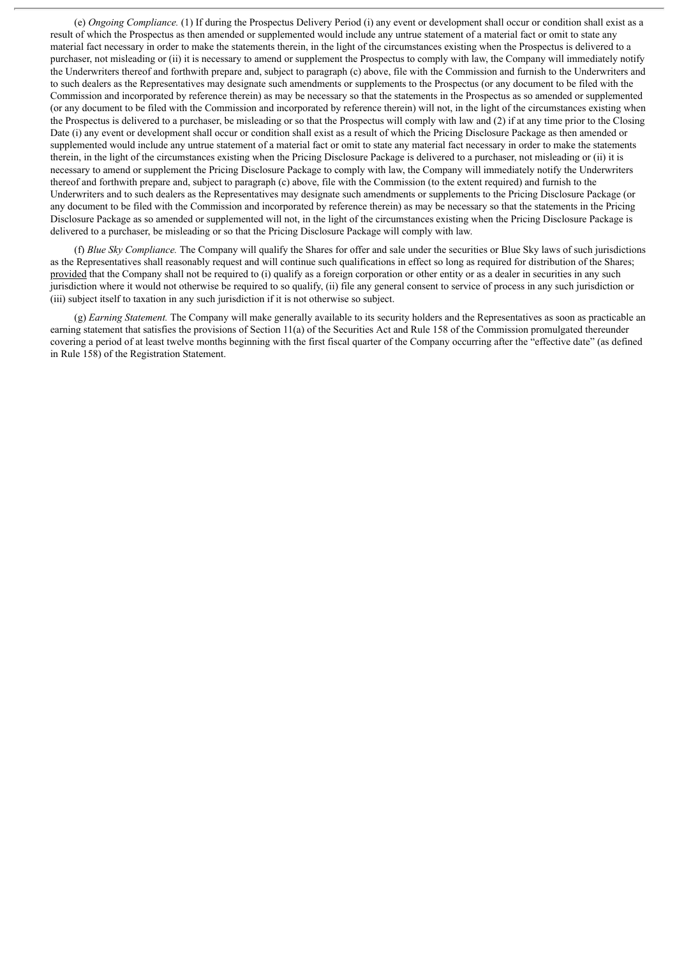(e) *Ongoing Compliance.* (1) If during the Prospectus Delivery Period (i) any event or development shall occur or condition shall exist as a result of which the Prospectus as then amended or supplemented would include any untrue statement of a material fact or omit to state any material fact necessary in order to make the statements therein, in the light of the circumstances existing when the Prospectus is delivered to a purchaser, not misleading or (ii) it is necessary to amend or supplement the Prospectus to comply with law, the Company will immediately notify the Underwriters thereof and forthwith prepare and, subject to paragraph (c) above, file with the Commission and furnish to the Underwriters and to such dealers as the Representatives may designate such amendments or supplements to the Prospectus (or any document to be filed with the Commission and incorporated by reference therein) as may be necessary so that the statements in the Prospectus as so amended or supplemented (or any document to be filed with the Commission and incorporated by reference therein) will not, in the light of the circumstances existing when the Prospectus is delivered to a purchaser, be misleading or so that the Prospectus will comply with law and (2) if at any time prior to the Closing Date (i) any event or development shall occur or condition shall exist as a result of which the Pricing Disclosure Package as then amended or supplemented would include any untrue statement of a material fact or omit to state any material fact necessary in order to make the statements therein, in the light of the circumstances existing when the Pricing Disclosure Package is delivered to a purchaser, not misleading or (ii) it is necessary to amend or supplement the Pricing Disclosure Package to comply with law, the Company will immediately notify the Underwriters thereof and forthwith prepare and, subject to paragraph (c) above, file with the Commission (to the extent required) and furnish to the Underwriters and to such dealers as the Representatives may designate such amendments or supplements to the Pricing Disclosure Package (or any document to be filed with the Commission and incorporated by reference therein) as may be necessary so that the statements in the Pricing Disclosure Package as so amended or supplemented will not, in the light of the circumstances existing when the Pricing Disclosure Package is delivered to a purchaser, be misleading or so that the Pricing Disclosure Package will comply with law.

(f) *Blue Sky Compliance.* The Company will qualify the Shares for offer and sale under the securities or Blue Sky laws of such jurisdictions as the Representatives shall reasonably request and will continue such qualifications in effect so long as required for distribution of the Shares; provided that the Company shall not be required to (i) qualify as a foreign corporation or other entity or as a dealer in securities in any such jurisdiction where it would not otherwise be required to so qualify, (ii) file any general consent to service of process in any such jurisdiction or (iii) subject itself to taxation in any such jurisdiction if it is not otherwise so subject.

(g) *Earning Statement.* The Company will make generally available to its security holders and the Representatives as soon as practicable an earning statement that satisfies the provisions of Section 11(a) of the Securities Act and Rule 158 of the Commission promulgated thereunder covering a period of at least twelve months beginning with the first fiscal quarter of the Company occurring after the "effective date" (as defined in Rule 158) of the Registration Statement.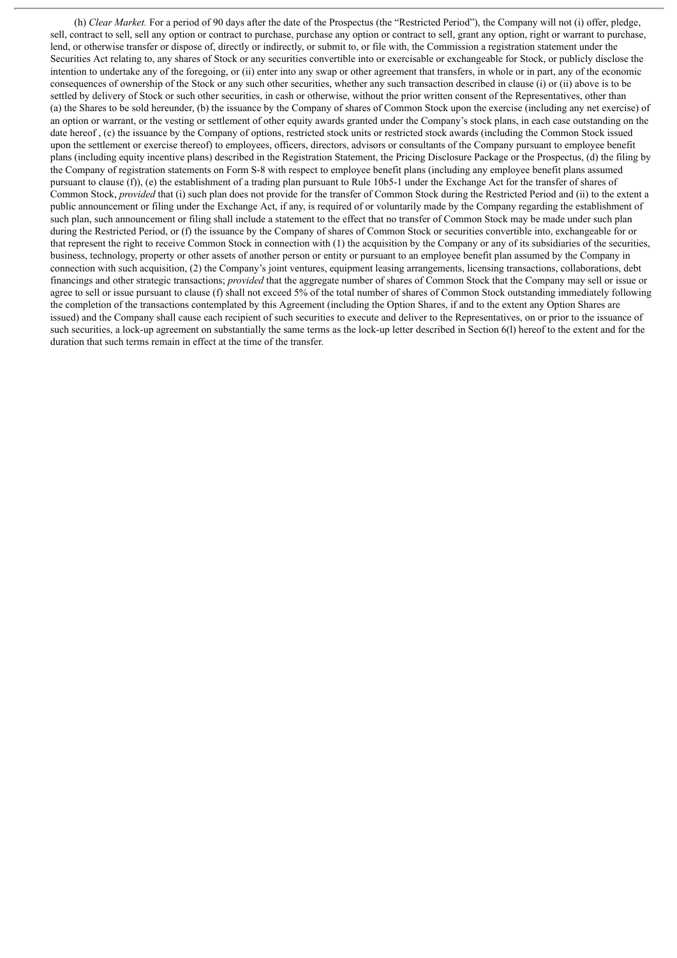(h) *Clear Market.* For a period of 90 days after the date of the Prospectus (the "Restricted Period"), the Company will not (i) offer, pledge, sell, contract to sell, sell any option or contract to purchase, purchase any option or contract to sell, grant any option, right or warrant to purchase, lend, or otherwise transfer or dispose of, directly or indirectly, or submit to, or file with, the Commission a registration statement under the Securities Act relating to, any shares of Stock or any securities convertible into or exercisable or exchangeable for Stock, or publicly disclose the intention to undertake any of the foregoing, or (ii) enter into any swap or other agreement that transfers, in whole or in part, any of the economic consequences of ownership of the Stock or any such other securities, whether any such transaction described in clause (i) or (ii) above is to be settled by delivery of Stock or such other securities, in cash or otherwise, without the prior written consent of the Representatives, other than (a) the Shares to be sold hereunder, (b) the issuance by the Company of shares of Common Stock upon the exercise (including any net exercise) of an option or warrant, or the vesting or settlement of other equity awards granted under the Company's stock plans, in each case outstanding on the date hereof , (c) the issuance by the Company of options, restricted stock units or restricted stock awards (including the Common Stock issued upon the settlement or exercise thereof) to employees, officers, directors, advisors or consultants of the Company pursuant to employee benefit plans (including equity incentive plans) described in the Registration Statement, the Pricing Disclosure Package or the Prospectus, (d) the filing by the Company of registration statements on Form S-8 with respect to employee benefit plans (including any employee benefit plans assumed pursuant to clause (f)), (e) the establishment of a trading plan pursuant to Rule 10b5-1 under the Exchange Act for the transfer of shares of Common Stock, *provided* that (i) such plan does not provide for the transfer of Common Stock during the Restricted Period and (ii) to the extent a public announcement or filing under the Exchange Act, if any, is required of or voluntarily made by the Company regarding the establishment of such plan, such announcement or filing shall include a statement to the effect that no transfer of Common Stock may be made under such plan during the Restricted Period, or (f) the issuance by the Company of shares of Common Stock or securities convertible into, exchangeable for or that represent the right to receive Common Stock in connection with (1) the acquisition by the Company or any of its subsidiaries of the securities, business, technology, property or other assets of another person or entity or pursuant to an employee benefit plan assumed by the Company in connection with such acquisition, (2) the Company's joint ventures, equipment leasing arrangements, licensing transactions, collaborations, debt financings and other strategic transactions; *provided* that the aggregate number of shares of Common Stock that the Company may sell or issue or agree to sell or issue pursuant to clause (f) shall not exceed 5% of the total number of shares of Common Stock outstanding immediately following the completion of the transactions contemplated by this Agreement (including the Option Shares, if and to the extent any Option Shares are issued) and the Company shall cause each recipient of such securities to execute and deliver to the Representatives, on or prior to the issuance of such securities, a lock-up agreement on substantially the same terms as the lock-up letter described in Section 6(1) hereof to the extent and for the duration that such terms remain in effect at the time of the transfer.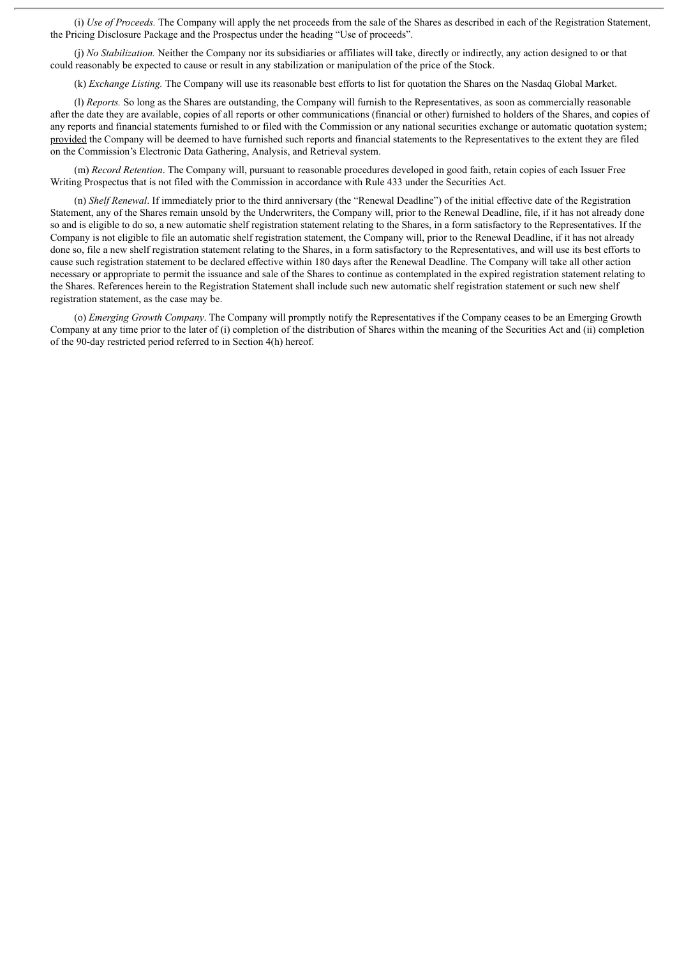(i) *Use of Proceeds.* The Company will apply the net proceeds from the sale of the Shares as described in each of the Registration Statement, the Pricing Disclosure Package and the Prospectus under the heading "Use of proceeds".

(j) *No Stabilization.* Neither the Company nor its subsidiaries or affiliates will take, directly or indirectly, any action designed to or that could reasonably be expected to cause or result in any stabilization or manipulation of the price of the Stock.

(k) *Exchange Listing.* The Company will use its reasonable best efforts to list for quotation the Shares on the Nasdaq Global Market.

(l) *Reports.* So long as the Shares are outstanding, the Company will furnish to the Representatives, as soon as commercially reasonable after the date they are available, copies of all reports or other communications (financial or other) furnished to holders of the Shares, and copies of any reports and financial statements furnished to or filed with the Commission or any national securities exchange or automatic quotation system; provided the Company will be deemed to have furnished such reports and financial statements to the Representatives to the extent they are filed on the Commission's Electronic Data Gathering, Analysis, and Retrieval system.

(m) *Record Retention*. The Company will, pursuant to reasonable procedures developed in good faith, retain copies of each Issuer Free Writing Prospectus that is not filed with the Commission in accordance with Rule 433 under the Securities Act.

(n) *Shelf Renewal*. If immediately prior to the third anniversary (the "Renewal Deadline") of the initial effective date of the Registration Statement, any of the Shares remain unsold by the Underwriters, the Company will, prior to the Renewal Deadline, file, if it has not already done so and is eligible to do so, a new automatic shelf registration statement relating to the Shares, in a form satisfactory to the Representatives. If the Company is not eligible to file an automatic shelf registration statement, the Company will, prior to the Renewal Deadline, if it has not already done so, file a new shelf registration statement relating to the Shares, in a form satisfactory to the Representatives, and will use its best efforts to cause such registration statement to be declared effective within 180 days after the Renewal Deadline. The Company will take all other action necessary or appropriate to permit the issuance and sale of the Shares to continue as contemplated in the expired registration statement relating to the Shares. References herein to the Registration Statement shall include such new automatic shelf registration statement or such new shelf registration statement, as the case may be.

(o) *Emerging Growth Company*. The Company will promptly notify the Representatives if the Company ceases to be an Emerging Growth Company at any time prior to the later of (i) completion of the distribution of Shares within the meaning of the Securities Act and (ii) completion of the 90-day restricted period referred to in Section 4(h) hereof.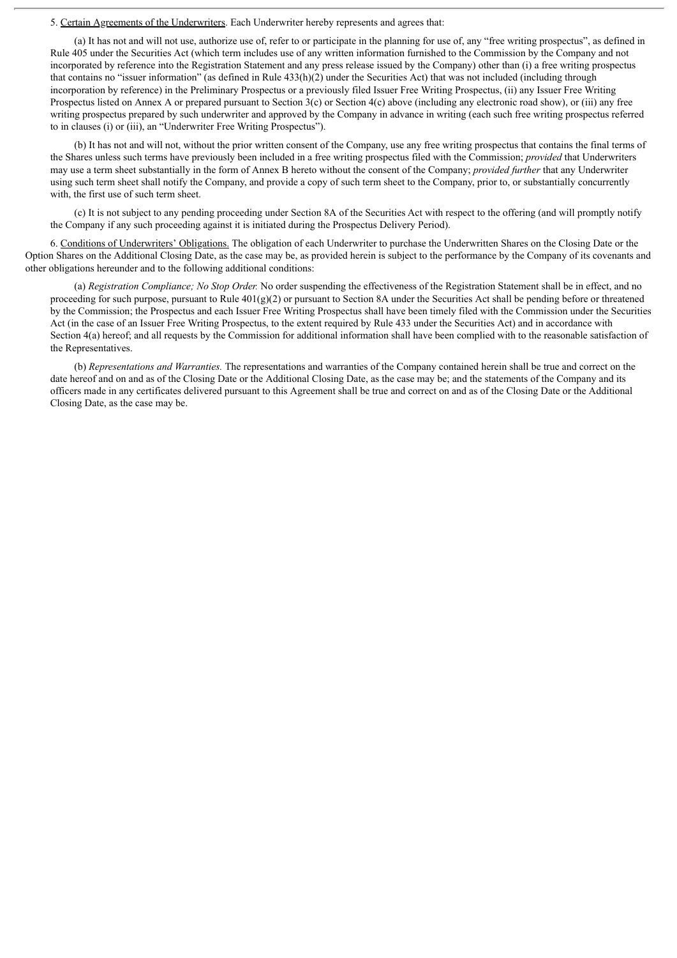5. Certain Agreements of the Underwriters. Each Underwriter hereby represents and agrees that:

(a) It has not and will not use, authorize use of, refer to or participate in the planning for use of, any "free writing prospectus", as defined in Rule 405 under the Securities Act (which term includes use of any written information furnished to the Commission by the Company and not incorporated by reference into the Registration Statement and any press release issued by the Company) other than (i) a free writing prospectus that contains no "issuer information" (as defined in Rule 433(h)(2) under the Securities Act) that was not included (including through incorporation by reference) in the Preliminary Prospectus or a previously filed Issuer Free Writing Prospectus, (ii) any Issuer Free Writing Prospectus listed on Annex A or prepared pursuant to Section  $3(c)$  or Section  $4(c)$  above (including any electronic road show), or (iii) any free writing prospectus prepared by such underwriter and approved by the Company in advance in writing (each such free writing prospectus referred to in clauses (i) or (iii), an "Underwriter Free Writing Prospectus").

(b) It has not and will not, without the prior written consent of the Company, use any free writing prospectus that contains the final terms of the Shares unless such terms have previously been included in a free writing prospectus filed with the Commission; *provided* that Underwriters may use a term sheet substantially in the form of Annex B hereto without the consent of the Company; *provided further* that any Underwriter using such term sheet shall notify the Company, and provide a copy of such term sheet to the Company, prior to, or substantially concurrently with, the first use of such term sheet.

(c) It is not subject to any pending proceeding under Section 8A of the Securities Act with respect to the offering (and will promptly notify the Company if any such proceeding against it is initiated during the Prospectus Delivery Period).

6. Conditions of Underwriters' Obligations. The obligation of each Underwriter to purchase the Underwritten Shares on the Closing Date or the Option Shares on the Additional Closing Date, as the case may be, as provided herein is subject to the performance by the Company of its covenants and other obligations hereunder and to the following additional conditions:

(a) *Registration Compliance; No Stop Order.* No order suspending the effectiveness of the Registration Statement shall be in effect, and no proceeding for such purpose, pursuant to Rule  $401(g)(2)$  or pursuant to Section 8A under the Securities Act shall be pending before or threatened by the Commission; the Prospectus and each Issuer Free Writing Prospectus shall have been timely filed with the Commission under the Securities Act (in the case of an Issuer Free Writing Prospectus, to the extent required by Rule 433 under the Securities Act) and in accordance with Section 4(a) hereof; and all requests by the Commission for additional information shall have been complied with to the reasonable satisfaction of the Representatives.

(b) *Representations and Warranties.* The representations and warranties of the Company contained herein shall be true and correct on the date hereof and on and as of the Closing Date or the Additional Closing Date, as the case may be; and the statements of the Company and its officers made in any certificates delivered pursuant to this Agreement shall be true and correct on and as of the Closing Date or the Additional Closing Date, as the case may be.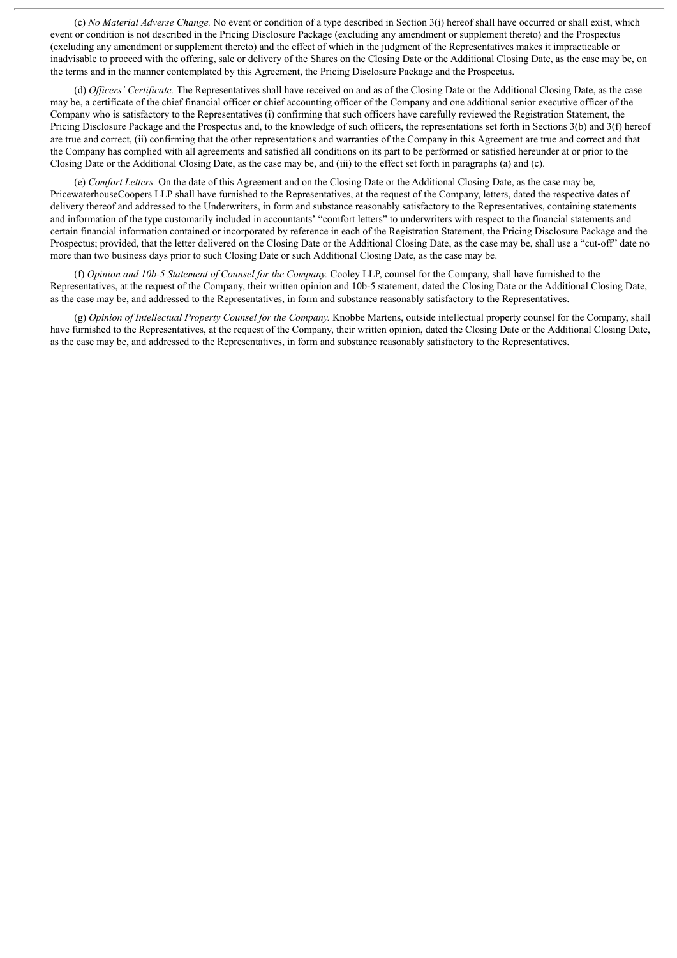(c) *No Material Adverse Change.* No event or condition of a type described in Section 3(i) hereof shall have occurred or shall exist, which event or condition is not described in the Pricing Disclosure Package (excluding any amendment or supplement thereto) and the Prospectus (excluding any amendment or supplement thereto) and the effect of which in the judgment of the Representatives makes it impracticable or inadvisable to proceed with the offering, sale or delivery of the Shares on the Closing Date or the Additional Closing Date, as the case may be, on the terms and in the manner contemplated by this Agreement, the Pricing Disclosure Package and the Prospectus.

(d) *Of icers' Certificate.* The Representatives shall have received on and as of the Closing Date or the Additional Closing Date, as the case may be, a certificate of the chief financial officer or chief accounting officer of the Company and one additional senior executive officer of the Company who is satisfactory to the Representatives (i) confirming that such officers have carefully reviewed the Registration Statement, the Pricing Disclosure Package and the Prospectus and, to the knowledge of such officers, the representations set forth in Sections 3(b) and 3(f) hereof are true and correct, (ii) confirming that the other representations and warranties of the Company in this Agreement are true and correct and that the Company has complied with all agreements and satisfied all conditions on its part to be performed or satisfied hereunder at or prior to the Closing Date or the Additional Closing Date, as the case may be, and (iii) to the effect set forth in paragraphs (a) and (c).

(e) *Comfort Letters.* On the date of this Agreement and on the Closing Date or the Additional Closing Date, as the case may be, PricewaterhouseCoopers LLP shall have furnished to the Representatives, at the request of the Company, letters, dated the respective dates of delivery thereof and addressed to the Underwriters, in form and substance reasonably satisfactory to the Representatives, containing statements and information of the type customarily included in accountants' "comfort letters" to underwriters with respect to the financial statements and certain financial information contained or incorporated by reference in each of the Registration Statement, the Pricing Disclosure Package and the Prospectus; provided, that the letter delivered on the Closing Date or the Additional Closing Date, as the case may be, shall use a "cut-off" date no more than two business days prior to such Closing Date or such Additional Closing Date, as the case may be.

(f) *Opinion and 10b-5 Statement of Counsel for the Company.* Cooley LLP, counsel for the Company, shall have furnished to the Representatives, at the request of the Company, their written opinion and 10b-5 statement, dated the Closing Date or the Additional Closing Date, as the case may be, and addressed to the Representatives, in form and substance reasonably satisfactory to the Representatives.

(g) *Opinion of Intellectual Property Counsel for the Company.* Knobbe Martens, outside intellectual property counsel for the Company, shall have furnished to the Representatives, at the request of the Company, their written opinion, dated the Closing Date or the Additional Closing Date, as the case may be, and addressed to the Representatives, in form and substance reasonably satisfactory to the Representatives.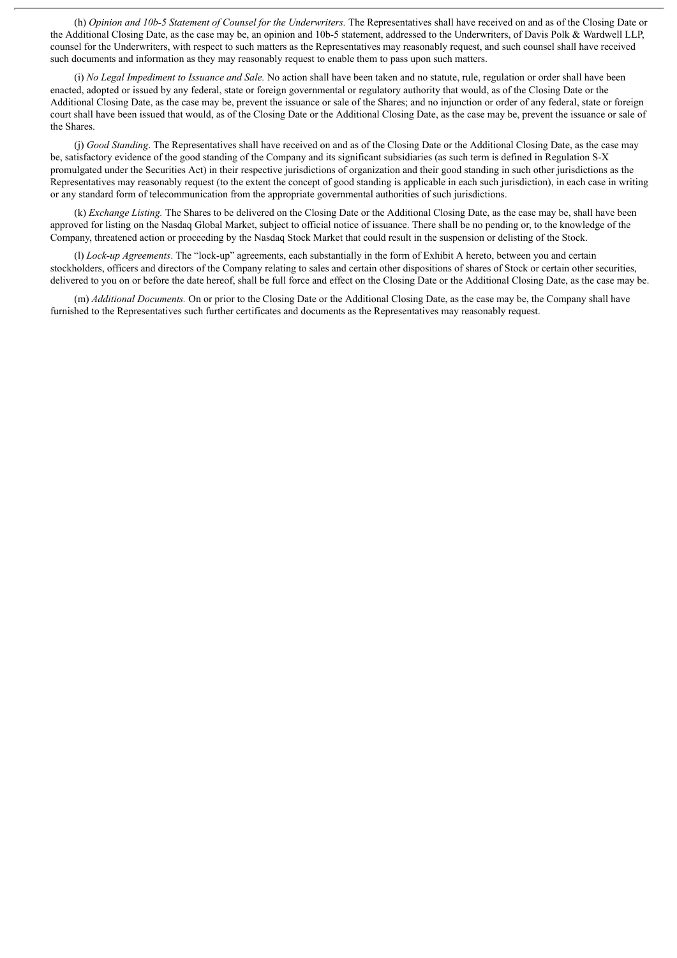(h) *Opinion and 10b-5 Statement of Counsel for the Underwriters.* The Representatives shall have received on and as of the Closing Date or the Additional Closing Date, as the case may be, an opinion and 10b-5 statement, addressed to the Underwriters, of Davis Polk & Wardwell LLP, counsel for the Underwriters, with respect to such matters as the Representatives may reasonably request, and such counsel shall have received such documents and information as they may reasonably request to enable them to pass upon such matters.

(i) *No Legal Impediment to Issuance and Sale.* No action shall have been taken and no statute, rule, regulation or order shall have been enacted, adopted or issued by any federal, state or foreign governmental or regulatory authority that would, as of the Closing Date or the Additional Closing Date, as the case may be, prevent the issuance or sale of the Shares; and no injunction or order of any federal, state or foreign court shall have been issued that would, as of the Closing Date or the Additional Closing Date, as the case may be, prevent the issuance or sale of the Shares.

(j) *Good Standing*. The Representatives shall have received on and as of the Closing Date or the Additional Closing Date, as the case may be, satisfactory evidence of the good standing of the Company and its significant subsidiaries (as such term is defined in Regulation S-X promulgated under the Securities Act) in their respective jurisdictions of organization and their good standing in such other jurisdictions as the Representatives may reasonably request (to the extent the concept of good standing is applicable in each such jurisdiction), in each case in writing or any standard form of telecommunication from the appropriate governmental authorities of such jurisdictions.

(k) *Exchange Listing.* The Shares to be delivered on the Closing Date or the Additional Closing Date, as the case may be, shall have been approved for listing on the Nasdaq Global Market, subject to official notice of issuance. There shall be no pending or, to the knowledge of the Company, threatened action or proceeding by the Nasdaq Stock Market that could result in the suspension or delisting of the Stock.

(l) *Lock-up Agreements*. The "lock-up" agreements, each substantially in the form of Exhibit A hereto, between you and certain stockholders, officers and directors of the Company relating to sales and certain other dispositions of shares of Stock or certain other securities, delivered to you on or before the date hereof, shall be full force and effect on the Closing Date or the Additional Closing Date, as the case may be.

(m) *Additional Documents.* On or prior to the Closing Date or the Additional Closing Date, as the case may be, the Company shall have furnished to the Representatives such further certificates and documents as the Representatives may reasonably request.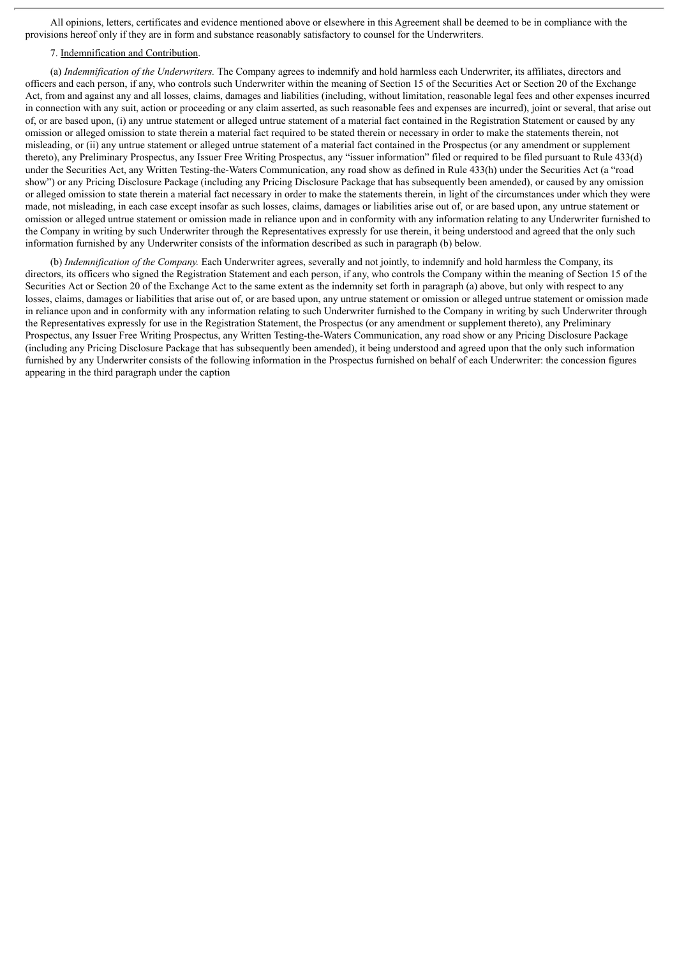All opinions, letters, certificates and evidence mentioned above or elsewhere in this Agreement shall be deemed to be in compliance with the provisions hereof only if they are in form and substance reasonably satisfactory to counsel for the Underwriters.

# 7. Indemnification and Contribution.

(a) *Indemnification of the Underwriters.* The Company agrees to indemnify and hold harmless each Underwriter, its affiliates, directors and officers and each person, if any, who controls such Underwriter within the meaning of Section 15 of the Securities Act or Section 20 of the Exchange Act, from and against any and all losses, claims, damages and liabilities (including, without limitation, reasonable legal fees and other expenses incurred in connection with any suit, action or proceeding or any claim asserted, as such reasonable fees and expenses are incurred), joint or several, that arise out of, or are based upon, (i) any untrue statement or alleged untrue statement of a material fact contained in the Registration Statement or caused by any omission or alleged omission to state therein a material fact required to be stated therein or necessary in order to make the statements therein, not misleading, or (ii) any untrue statement or alleged untrue statement of a material fact contained in the Prospectus (or any amendment or supplement thereto), any Preliminary Prospectus, any Issuer Free Writing Prospectus, any "issuer information" filed or required to be filed pursuant to Rule 433(d) under the Securities Act, any Written Testing-the-Waters Communication, any road show as defined in Rule 433(h) under the Securities Act (a "road show") or any Pricing Disclosure Package (including any Pricing Disclosure Package that has subsequently been amended), or caused by any omission or alleged omission to state therein a material fact necessary in order to make the statements therein, in light of the circumstances under which they were made, not misleading, in each case except insofar as such losses, claims, damages or liabilities arise out of, or are based upon, any untrue statement or omission or alleged untrue statement or omission made in reliance upon and in conformity with any information relating to any Underwriter furnished to the Company in writing by such Underwriter through the Representatives expressly for use therein, it being understood and agreed that the only such information furnished by any Underwriter consists of the information described as such in paragraph (b) below.

(b) *Indemnification of the Company.* Each Underwriter agrees, severally and not jointly, to indemnify and hold harmless the Company, its directors, its officers who signed the Registration Statement and each person, if any, who controls the Company within the meaning of Section 15 of the Securities Act or Section 20 of the Exchange Act to the same extent as the indemnity set forth in paragraph (a) above, but only with respect to any losses, claims, damages or liabilities that arise out of, or are based upon, any untrue statement or omission or alleged untrue statement or omission made in reliance upon and in conformity with any information relating to such Underwriter furnished to the Company in writing by such Underwriter through the Representatives expressly for use in the Registration Statement, the Prospectus (or any amendment or supplement thereto), any Preliminary Prospectus, any Issuer Free Writing Prospectus, any Written Testing-the-Waters Communication, any road show or any Pricing Disclosure Package (including any Pricing Disclosure Package that has subsequently been amended), it being understood and agreed upon that the only such information furnished by any Underwriter consists of the following information in the Prospectus furnished on behalf of each Underwriter: the concession figures appearing in the third paragraph under the caption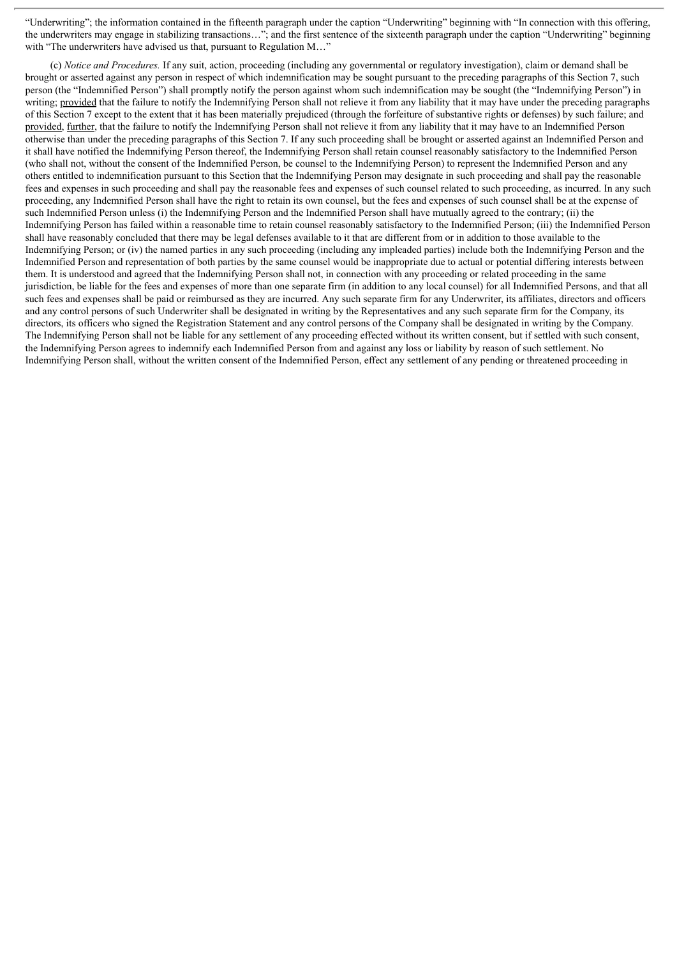"Underwriting"; the information contained in the fifteenth paragraph under the caption "Underwriting" beginning with "In connection with this offering, the underwriters may engage in stabilizing transactions…"; and the first sentence of the sixteenth paragraph under the caption "Underwriting" beginning with "The underwriters have advised us that, pursuant to Regulation M..."

(c) *Notice and Procedures.* If any suit, action, proceeding (including any governmental or regulatory investigation), claim or demand shall be brought or asserted against any person in respect of which indemnification may be sought pursuant to the preceding paragraphs of this Section 7, such person (the "Indemnified Person") shall promptly notify the person against whom such indemnification may be sought (the "Indemnifying Person") in writing; provided that the failure to notify the Indemnifying Person shall not relieve it from any liability that it may have under the preceding paragraphs of this Section 7 except to the extent that it has been materially prejudiced (through the forfeiture of substantive rights or defenses) by such failure; and provided, further, that the failure to notify the Indemnifying Person shall not relieve it from any liability that it may have to an Indemnified Person otherwise than under the preceding paragraphs of this Section 7. If any such proceeding shall be brought or asserted against an Indemnified Person and it shall have notified the Indemnifying Person thereof, the Indemnifying Person shall retain counsel reasonably satisfactory to the Indemnified Person (who shall not, without the consent of the Indemnified Person, be counsel to the Indemnifying Person) to represent the Indemnified Person and any others entitled to indemnification pursuant to this Section that the Indemnifying Person may designate in such proceeding and shall pay the reasonable fees and expenses in such proceeding and shall pay the reasonable fees and expenses of such counsel related to such proceeding, as incurred. In any such proceeding, any Indemnified Person shall have the right to retain its own counsel, but the fees and expenses of such counsel shall be at the expense of such Indemnified Person unless (i) the Indemnifying Person and the Indemnified Person shall have mutually agreed to the contrary; (ii) the Indemnifying Person has failed within a reasonable time to retain counsel reasonably satisfactory to the Indemnified Person; (iii) the Indemnified Person shall have reasonably concluded that there may be legal defenses available to it that are different from or in addition to those available to the Indemnifying Person; or (iv) the named parties in any such proceeding (including any impleaded parties) include both the Indemnifying Person and the Indemnified Person and representation of both parties by the same counsel would be inappropriate due to actual or potential differing interests between them. It is understood and agreed that the Indemnifying Person shall not, in connection with any proceeding or related proceeding in the same jurisdiction, be liable for the fees and expenses of more than one separate firm (in addition to any local counsel) for all Indemnified Persons, and that all such fees and expenses shall be paid or reimbursed as they are incurred. Any such separate firm for any Underwriter, its affiliates, directors and officers and any control persons of such Underwriter shall be designated in writing by the Representatives and any such separate firm for the Company, its directors, its officers who signed the Registration Statement and any control persons of the Company shall be designated in writing by the Company. The Indemnifying Person shall not be liable for any settlement of any proceeding effected without its written consent, but if settled with such consent, the Indemnifying Person agrees to indemnify each Indemnified Person from and against any loss or liability by reason of such settlement. No Indemnifying Person shall, without the written consent of the Indemnified Person, effect any settlement of any pending or threatened proceeding in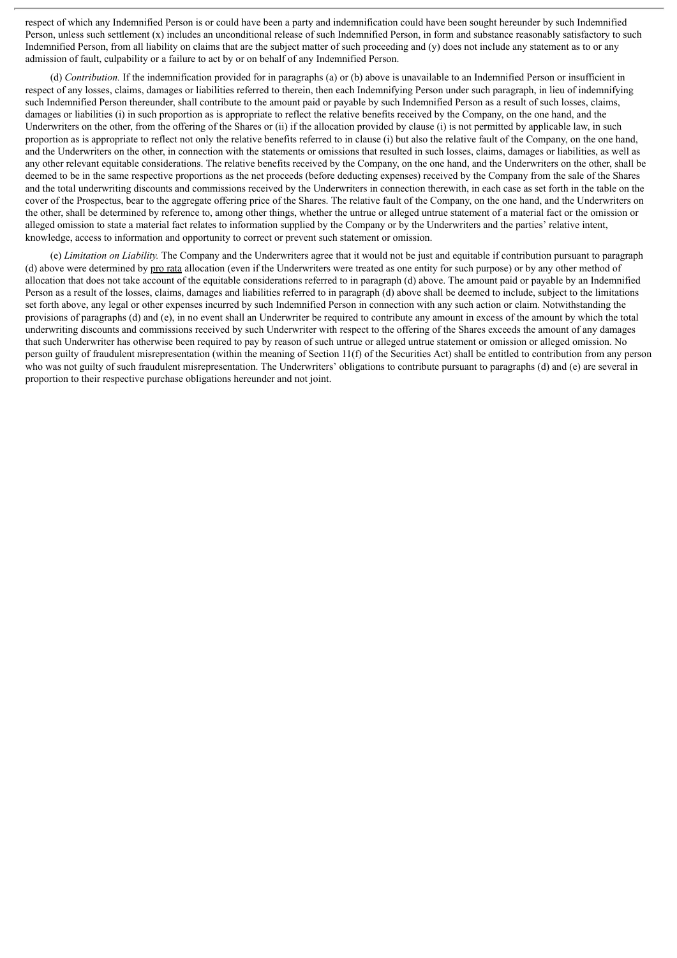respect of which any Indemnified Person is or could have been a party and indemnification could have been sought hereunder by such Indemnified Person, unless such settlement (x) includes an unconditional release of such Indemnified Person, in form and substance reasonably satisfactory to such Indemnified Person, from all liability on claims that are the subject matter of such proceeding and (y) does not include any statement as to or any admission of fault, culpability or a failure to act by or on behalf of any Indemnified Person.

(d) *Contribution.* If the indemnification provided for in paragraphs (a) or (b) above is unavailable to an Indemnified Person or insufficient in respect of any losses, claims, damages or liabilities referred to therein, then each Indemnifying Person under such paragraph, in lieu of indemnifying such Indemnified Person thereunder, shall contribute to the amount paid or payable by such Indemnified Person as a result of such losses, claims, damages or liabilities (i) in such proportion as is appropriate to reflect the relative benefits received by the Company, on the one hand, and the Underwriters on the other, from the offering of the Shares or (ii) if the allocation provided by clause (i) is not permitted by applicable law, in such proportion as is appropriate to reflect not only the relative benefits referred to in clause (i) but also the relative fault of the Company, on the one hand, and the Underwriters on the other, in connection with the statements or omissions that resulted in such losses, claims, damages or liabilities, as well as any other relevant equitable considerations. The relative benefits received by the Company, on the one hand, and the Underwriters on the other, shall be deemed to be in the same respective proportions as the net proceeds (before deducting expenses) received by the Company from the sale of the Shares and the total underwriting discounts and commissions received by the Underwriters in connection therewith, in each case as set forth in the table on the cover of the Prospectus, bear to the aggregate offering price of the Shares. The relative fault of the Company, on the one hand, and the Underwriters on the other, shall be determined by reference to, among other things, whether the untrue or alleged untrue statement of a material fact or the omission or alleged omission to state a material fact relates to information supplied by the Company or by the Underwriters and the parties' relative intent, knowledge, access to information and opportunity to correct or prevent such statement or omission.

(e) *Limitation on Liability.* The Company and the Underwriters agree that it would not be just and equitable if contribution pursuant to paragraph (d) above were determined by pro rata allocation (even if the Underwriters were treated as one entity for such purpose) or by any other method of allocation that does not take account of the equitable considerations referred to in paragraph (d) above. The amount paid or payable by an Indemnified Person as a result of the losses, claims, damages and liabilities referred to in paragraph (d) above shall be deemed to include, subject to the limitations set forth above, any legal or other expenses incurred by such Indemnified Person in connection with any such action or claim. Notwithstanding the provisions of paragraphs (d) and (e), in no event shall an Underwriter be required to contribute any amount in excess of the amount by which the total underwriting discounts and commissions received by such Underwriter with respect to the offering of the Shares exceeds the amount of any damages that such Underwriter has otherwise been required to pay by reason of such untrue or alleged untrue statement or omission or alleged omission. No person guilty of fraudulent misrepresentation (within the meaning of Section 11(f) of the Securities Act) shall be entitled to contribution from any person who was not guilty of such fraudulent misrepresentation. The Underwriters' obligations to contribute pursuant to paragraphs (d) and (e) are several in proportion to their respective purchase obligations hereunder and not joint.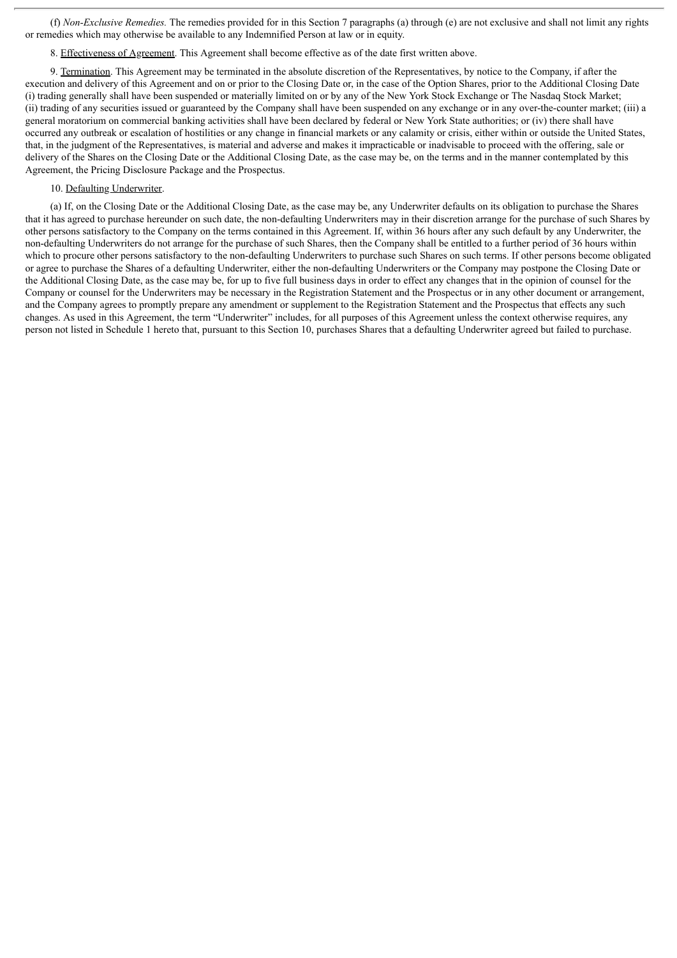(f) *Non-Exclusive Remedies.* The remedies provided for in this Section 7 paragraphs (a) through (e) are not exclusive and shall not limit any rights or remedies which may otherwise be available to any Indemnified Person at law or in equity.

8. Effectiveness of Agreement. This Agreement shall become effective as of the date first written above.

9. Termination. This Agreement may be terminated in the absolute discretion of the Representatives, by notice to the Company, if after the execution and delivery of this Agreement and on or prior to the Closing Date or, in the case of the Option Shares, prior to the Additional Closing Date (i) trading generally shall have been suspended or materially limited on or by any of the New York Stock Exchange or The Nasdaq Stock Market; (ii) trading of any securities issued or guaranteed by the Company shall have been suspended on any exchange or in any over-the-counter market; (iii) a general moratorium on commercial banking activities shall have been declared by federal or New York State authorities; or (iv) there shall have occurred any outbreak or escalation of hostilities or any change in financial markets or any calamity or crisis, either within or outside the United States, that, in the judgment of the Representatives, is material and adverse and makes it impracticable or inadvisable to proceed with the offering, sale or delivery of the Shares on the Closing Date or the Additional Closing Date, as the case may be, on the terms and in the manner contemplated by this Agreement, the Pricing Disclosure Package and the Prospectus.

## 10. Defaulting Underwriter.

(a) If, on the Closing Date or the Additional Closing Date, as the case may be, any Underwriter defaults on its obligation to purchase the Shares that it has agreed to purchase hereunder on such date, the non-defaulting Underwriters may in their discretion arrange for the purchase of such Shares by other persons satisfactory to the Company on the terms contained in this Agreement. If, within 36 hours after any such default by any Underwriter, the non-defaulting Underwriters do not arrange for the purchase of such Shares, then the Company shall be entitled to a further period of 36 hours within which to procure other persons satisfactory to the non-defaulting Underwriters to purchase such Shares on such terms. If other persons become obligated or agree to purchase the Shares of a defaulting Underwriter, either the non-defaulting Underwriters or the Company may postpone the Closing Date or the Additional Closing Date, as the case may be, for up to five full business days in order to effect any changes that in the opinion of counsel for the Company or counsel for the Underwriters may be necessary in the Registration Statement and the Prospectus or in any other document or arrangement, and the Company agrees to promptly prepare any amendment or supplement to the Registration Statement and the Prospectus that effects any such changes. As used in this Agreement, the term "Underwriter" includes, for all purposes of this Agreement unless the context otherwise requires, any person not listed in Schedule 1 hereto that, pursuant to this Section 10, purchases Shares that a defaulting Underwriter agreed but failed to purchase.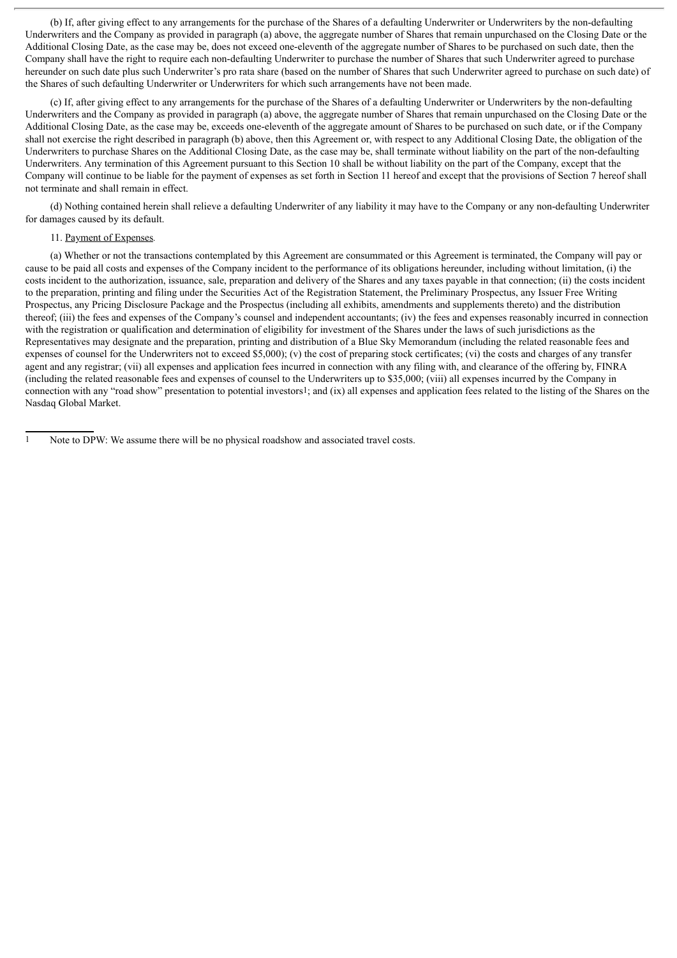(b) If, after giving effect to any arrangements for the purchase of the Shares of a defaulting Underwriter or Underwriters by the non-defaulting Underwriters and the Company as provided in paragraph (a) above, the aggregate number of Shares that remain unpurchased on the Closing Date or the Additional Closing Date, as the case may be, does not exceed one-eleventh of the aggregate number of Shares to be purchased on such date, then the Company shall have the right to require each non-defaulting Underwriter to purchase the number of Shares that such Underwriter agreed to purchase hereunder on such date plus such Underwriter's pro rata share (based on the number of Shares that such Underwriter agreed to purchase on such date) of the Shares of such defaulting Underwriter or Underwriters for which such arrangements have not been made.

(c) If, after giving effect to any arrangements for the purchase of the Shares of a defaulting Underwriter or Underwriters by the non-defaulting Underwriters and the Company as provided in paragraph (a) above, the aggregate number of Shares that remain unpurchased on the Closing Date or the Additional Closing Date, as the case may be, exceeds one-eleventh of the aggregate amount of Shares to be purchased on such date, or if the Company shall not exercise the right described in paragraph (b) above, then this Agreement or, with respect to any Additional Closing Date, the obligation of the Underwriters to purchase Shares on the Additional Closing Date, as the case may be, shall terminate without liability on the part of the non-defaulting Underwriters. Any termination of this Agreement pursuant to this Section 10 shall be without liability on the part of the Company, except that the Company will continue to be liable for the payment of expenses as set forth in Section 11 hereof and except that the provisions of Section 7 hereof shall not terminate and shall remain in effect.

(d) Nothing contained herein shall relieve a defaulting Underwriter of any liability it may have to the Company or any non-defaulting Underwriter for damages caused by its default.

# 11. Payment of Expenses*.*

(a) Whether or not the transactions contemplated by this Agreement are consummated or this Agreement is terminated, the Company will pay or cause to be paid all costs and expenses of the Company incident to the performance of its obligations hereunder, including without limitation, (i) the costs incident to the authorization, issuance, sale, preparation and delivery of the Shares and any taxes payable in that connection; (ii) the costs incident to the preparation, printing and filing under the Securities Act of the Registration Statement, the Preliminary Prospectus, any Issuer Free Writing Prospectus, any Pricing Disclosure Package and the Prospectus (including all exhibits, amendments and supplements thereto) and the distribution thereof; (iii) the fees and expenses of the Company's counsel and independent accountants; (iv) the fees and expenses reasonably incurred in connection with the registration or qualification and determination of eligibility for investment of the Shares under the laws of such jurisdictions as the Representatives may designate and the preparation, printing and distribution of a Blue Sky Memorandum (including the related reasonable fees and expenses of counsel for the Underwriters not to exceed \$5,000); (v) the cost of preparing stock certificates; (vi) the costs and charges of any transfer agent and any registrar; (vii) all expenses and application fees incurred in connection with any filing with, and clearance of the offering by, FINRA (including the related reasonable fees and expenses of counsel to the Underwriters up to \$35,000; (viii) all expenses incurred by the Company in connection with any "road show" presentation to potential investors1; and (ix) all expenses and application fees related to the listing of the Shares on the Nasdaq Global Market.

Note to DPW: We assume there will be no physical roadshow and associated travel costs.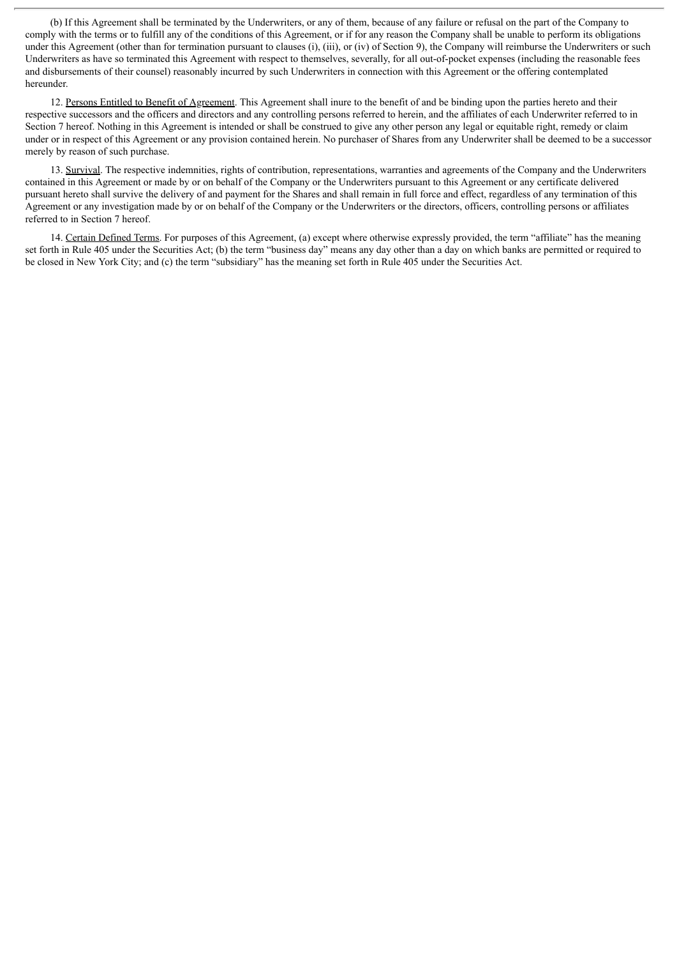(b) If this Agreement shall be terminated by the Underwriters, or any of them, because of any failure or refusal on the part of the Company to comply with the terms or to fulfill any of the conditions of this Agreement, or if for any reason the Company shall be unable to perform its obligations under this Agreement (other than for termination pursuant to clauses (i), (iii), or (iv) of Section 9), the Company will reimburse the Underwriters or such Underwriters as have so terminated this Agreement with respect to themselves, severally, for all out-of-pocket expenses (including the reasonable fees and disbursements of their counsel) reasonably incurred by such Underwriters in connection with this Agreement or the offering contemplated hereunder.

12. Persons Entitled to Benefit of Agreement. This Agreement shall inure to the benefit of and be binding upon the parties hereto and their respective successors and the officers and directors and any controlling persons referred to herein, and the affiliates of each Underwriter referred to in Section 7 hereof. Nothing in this Agreement is intended or shall be construed to give any other person any legal or equitable right, remedy or claim under or in respect of this Agreement or any provision contained herein. No purchaser of Shares from any Underwriter shall be deemed to be a successor merely by reason of such purchase.

13. Survival. The respective indemnities, rights of contribution, representations, warranties and agreements of the Company and the Underwriters contained in this Agreement or made by or on behalf of the Company or the Underwriters pursuant to this Agreement or any certificate delivered pursuant hereto shall survive the delivery of and payment for the Shares and shall remain in full force and effect, regardless of any termination of this Agreement or any investigation made by or on behalf of the Company or the Underwriters or the directors, officers, controlling persons or affiliates referred to in Section 7 hereof.

14. Certain Defined Terms. For purposes of this Agreement, (a) except where otherwise expressly provided, the term "affiliate" has the meaning set forth in Rule 405 under the Securities Act; (b) the term "business day" means any day other than a day on which banks are permitted or required to be closed in New York City; and (c) the term "subsidiary" has the meaning set forth in Rule 405 under the Securities Act.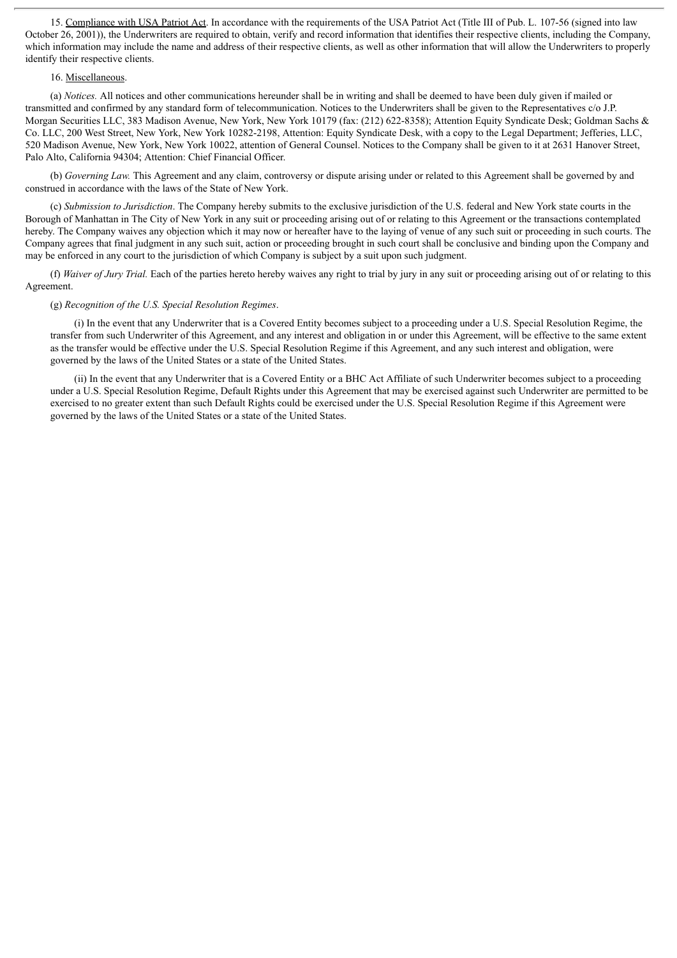15. Compliance with USA Patriot Act. In accordance with the requirements of the USA Patriot Act (Title III of Pub. L. 107-56 (signed into law October 26, 2001)), the Underwriters are required to obtain, verify and record information that identifies their respective clients, including the Company, which information may include the name and address of their respective clients, as well as other information that will allow the Underwriters to properly identify their respective clients.

#### 16. Miscellaneous.

(a) *Notices.* All notices and other communications hereunder shall be in writing and shall be deemed to have been duly given if mailed or transmitted and confirmed by any standard form of telecommunication. Notices to the Underwriters shall be given to the Representatives c/o J.P. Morgan Securities LLC, 383 Madison Avenue, New York, New York 10179 (fax: (212) 622-8358); Attention Equity Syndicate Desk; Goldman Sachs & Co. LLC, 200 West Street, New York, New York 10282-2198, Attention: Equity Syndicate Desk, with a copy to the Legal Department; Jefferies, LLC, 520 Madison Avenue, New York, New York 10022, attention of General Counsel. Notices to the Company shall be given to it at 2631 Hanover Street, Palo Alto, California 94304; Attention: Chief Financial Officer.

(b) *Governing Law.* This Agreement and any claim, controversy or dispute arising under or related to this Agreement shall be governed by and construed in accordance with the laws of the State of New York.

(c) *Submission to Jurisdiction*. The Company hereby submits to the exclusive jurisdiction of the U.S. federal and New York state courts in the Borough of Manhattan in The City of New York in any suit or proceeding arising out of or relating to this Agreement or the transactions contemplated hereby. The Company waives any objection which it may now or hereafter have to the laying of venue of any such suit or proceeding in such courts. The Company agrees that final judgment in any such suit, action or proceeding brought in such court shall be conclusive and binding upon the Company and may be enforced in any court to the jurisdiction of which Company is subject by a suit upon such judgment.

(f) *Waiver of Jury Trial.* Each of the parties hereto hereby waives any right to trial by jury in any suit or proceeding arising out of or relating to this Agreement.

#### (g) *Recognition of the U.S. Special Resolution Regimes*.

(i) In the event that any Underwriter that is a Covered Entity becomes subject to a proceeding under a U.S. Special Resolution Regime, the transfer from such Underwriter of this Agreement, and any interest and obligation in or under this Agreement, will be effective to the same extent as the transfer would be effective under the U.S. Special Resolution Regime if this Agreement, and any such interest and obligation, were governed by the laws of the United States or a state of the United States.

(ii) In the event that any Underwriter that is a Covered Entity or a BHC Act Affiliate of such Underwriter becomes subject to a proceeding under a U.S. Special Resolution Regime, Default Rights under this Agreement that may be exercised against such Underwriter are permitted to be exercised to no greater extent than such Default Rights could be exercised under the U.S. Special Resolution Regime if this Agreement were governed by the laws of the United States or a state of the United States.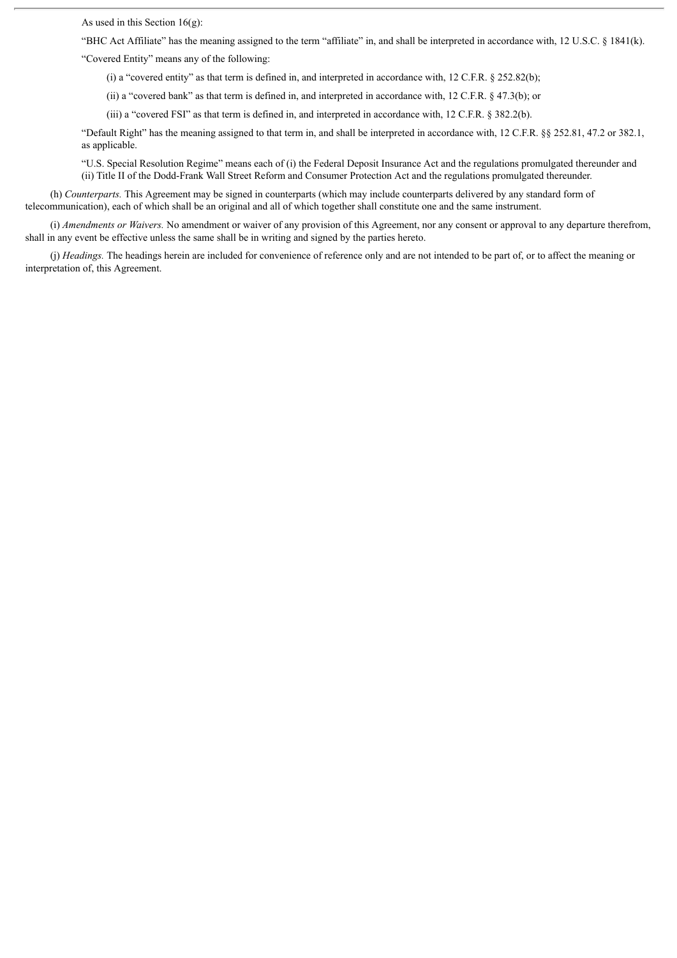As used in this Section  $16(g)$ :

"BHC Act Affiliate" has the meaning assigned to the term "affiliate" in, and shall be interpreted in accordance with, 12 U.S.C. § 1841(k).

"Covered Entity" means any of the following:

(i) a "covered entity" as that term is defined in, and interpreted in accordance with, 12 C.F.R. § 252.82(b);

(ii) a "covered bank" as that term is defined in, and interpreted in accordance with, 12 C.F.R. § 47.3(b); or

(iii) a "covered FSI" as that term is defined in, and interpreted in accordance with, 12 C.F.R. § 382.2(b).

"Default Right" has the meaning assigned to that term in, and shall be interpreted in accordance with, 12 C.F.R. §§ 252.81, 47.2 or 382.1, as applicable.

"U.S. Special Resolution Regime" means each of (i) the Federal Deposit Insurance Act and the regulations promulgated thereunder and (ii) Title II of the Dodd-Frank Wall Street Reform and Consumer Protection Act and the regulations promulgated thereunder.

(h) *Counterparts.* This Agreement may be signed in counterparts (which may include counterparts delivered by any standard form of telecommunication), each of which shall be an original and all of which together shall constitute one and the same instrument.

(i) *Amendments or Waivers.* No amendment or waiver of any provision of this Agreement, nor any consent or approval to any departure therefrom, shall in any event be effective unless the same shall be in writing and signed by the parties hereto.

(j) *Headings.* The headings herein are included for convenience of reference only and are not intended to be part of, or to affect the meaning or interpretation of, this Agreement.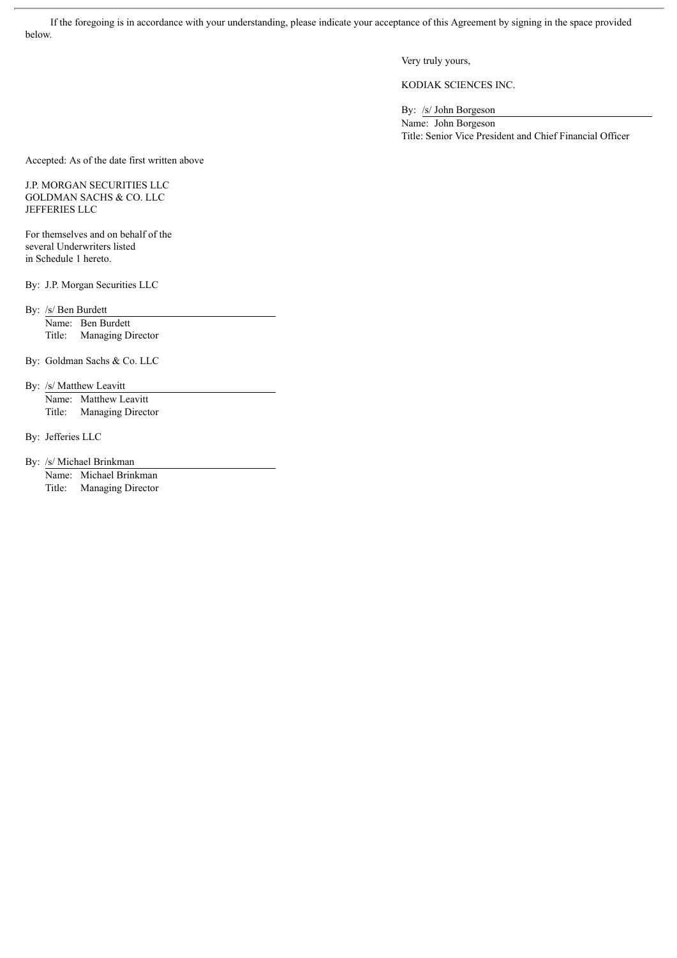If the foregoing is in accordance with your understanding, please indicate your acceptance of this Agreement by signing in the space provided below.

Very truly yours,

KODIAK SCIENCES INC.

By: /s/ John Borgeson

Name: John Borgeson Title: Senior Vice President and Chief Financial Officer

Accepted: As of the date first written above

# J.P. MORGAN SECURITIES LLC GOLDMAN SACHS & CO. LLC JEFFERIES LLC

For themselves and on behalf of the several Underwriters listed in Schedule 1 hereto.

By: J.P. Morgan Securities LLC

By: /s/ Ben Burdett

Name: Ben Burdett Title: Managing Director

By: Goldman Sachs & Co. LLC

By: /s/ Matthew Leavitt Name: Matthew Leavitt Title: Managing Director

By: Jefferies LLC

By: /s/ Michael Brinkman

Name: Michael Brinkman Title: Managing Director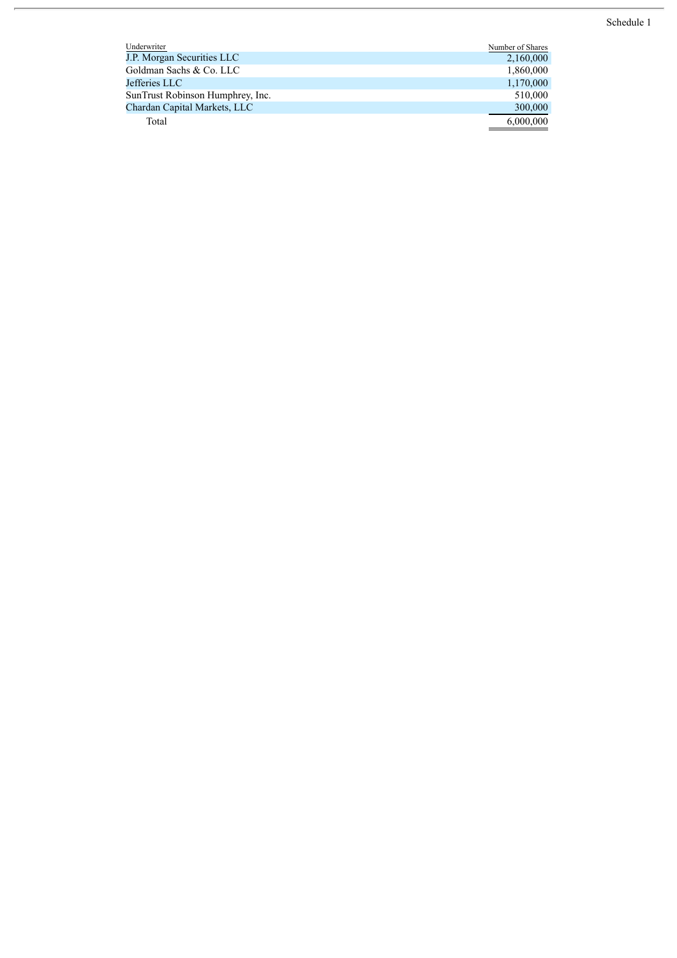Schedule 1

| Underwriter                      | Number of Shares |
|----------------------------------|------------------|
| J.P. Morgan Securities LLC       | 2,160,000        |
| Goldman Sachs & Co. LLC          | 1,860,000        |
| Jefferies LLC                    | 1,170,000        |
| SunTrust Robinson Humphrey, Inc. | 510,000          |
| Chardan Capital Markets, LLC     | 300,000          |
| Total                            | 6,000,000        |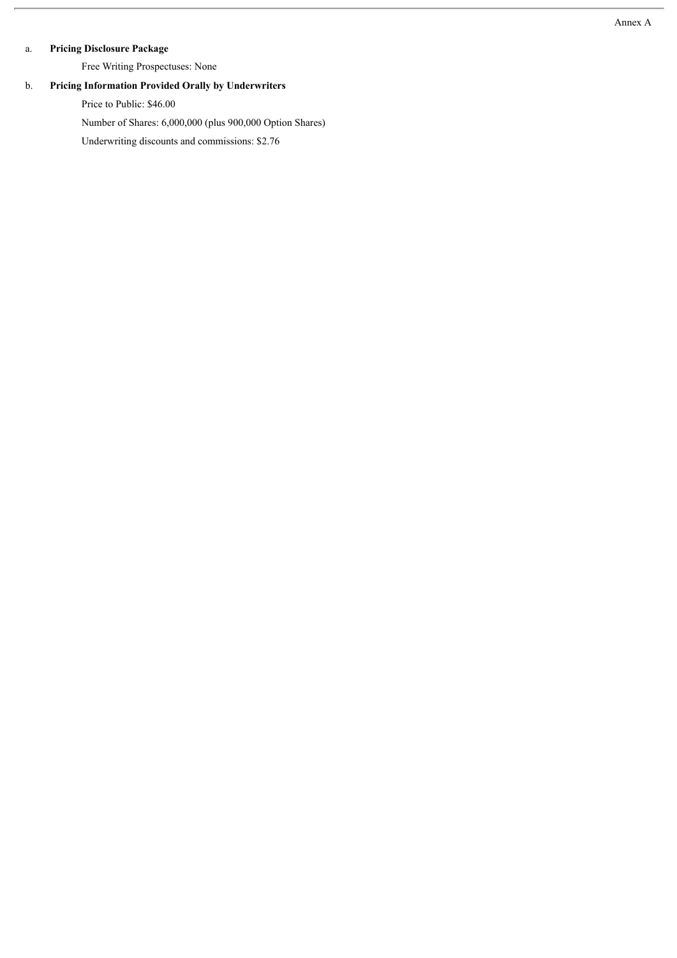# a. **Pricing Disclosure Package**

Free Writing Prospectuses: None

# b. **Pricing Information Provided Orally by Underwriters**

Price to Public: \$46.00

Number of Shares: 6,000,000 (plus 900,000 Option Shares)

Underwriting discounts and commissions: \$2.76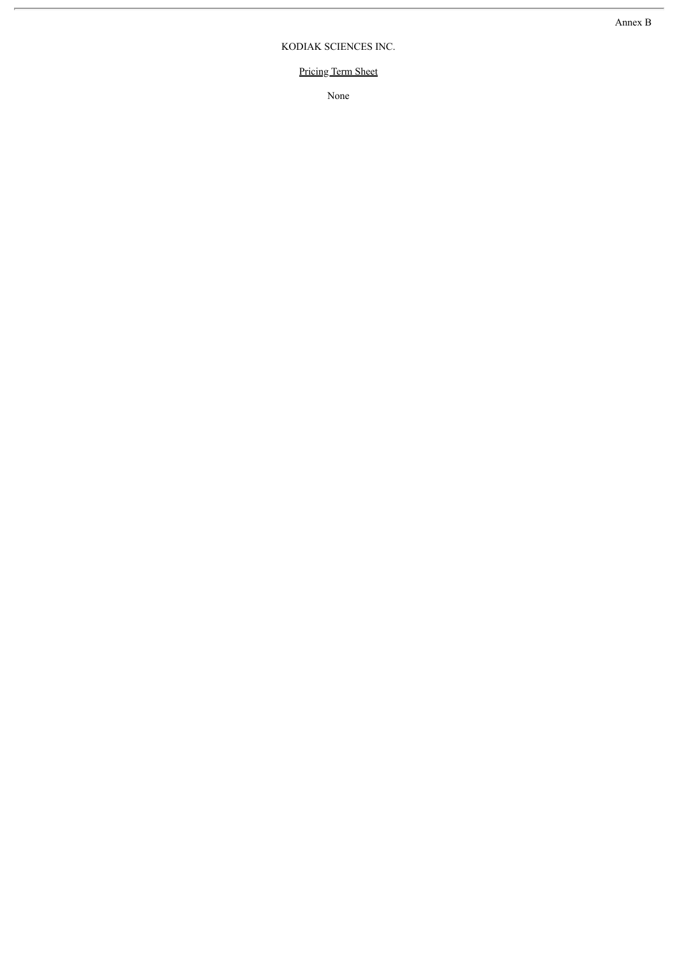# KODIAK SCIENCES INC.

# Pricing Term Sheet

None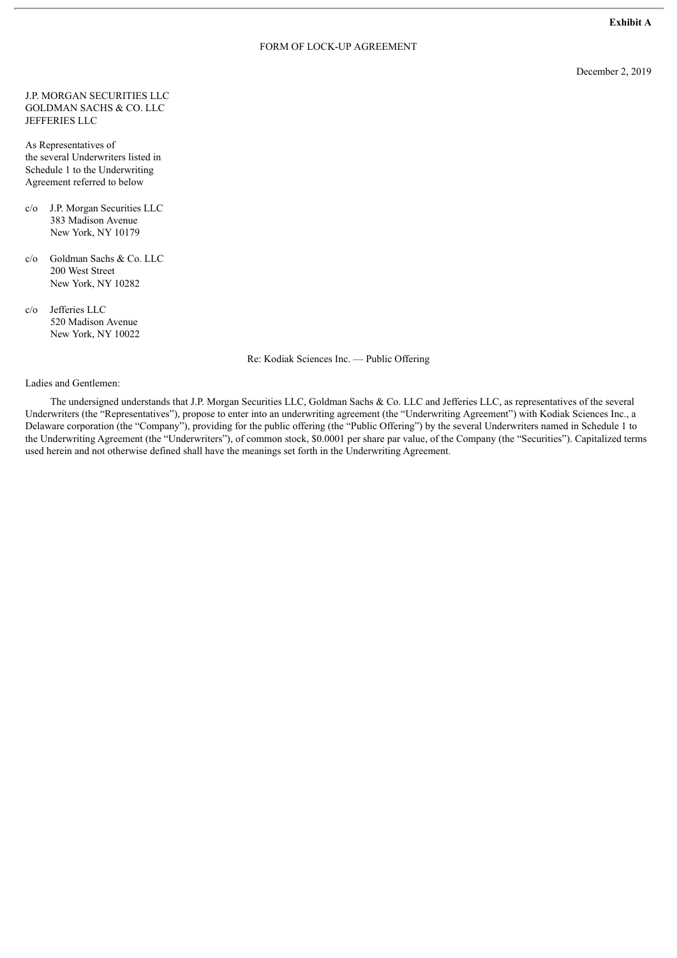**Exhibit A**

#### FORM OF LOCK-UP AGREEMENT

December 2, 2019

J.P. MORGAN SECURITIES LLC GOLDMAN SACHS & CO. LLC JEFFERIES LLC

As Representatives of the several Underwriters listed in Schedule 1 to the Underwriting Agreement referred to below

- c/o J.P. Morgan Securities LLC 383 Madison Avenue New York, NY 10179
- c/o Goldman Sachs & Co. LLC 200 West Street New York, NY 10282
- c/o Jefferies LLC 520 Madison Avenue New York, NY 10022

Re: Kodiak Sciences Inc. — Public Offering

Ladies and Gentlemen:

The undersigned understands that J.P. Morgan Securities LLC, Goldman Sachs & Co. LLC and Jefferies LLC, as representatives of the several Underwriters (the "Representatives"), propose to enter into an underwriting agreement (the "Underwriting Agreement") with Kodiak Sciences Inc., a Delaware corporation (the "Company"), providing for the public offering (the "Public Offering") by the several Underwriters named in Schedule 1 to the Underwriting Agreement (the "Underwriters"), of common stock, \$0.0001 per share par value, of the Company (the "Securities"). Capitalized terms used herein and not otherwise defined shall have the meanings set forth in the Underwriting Agreement.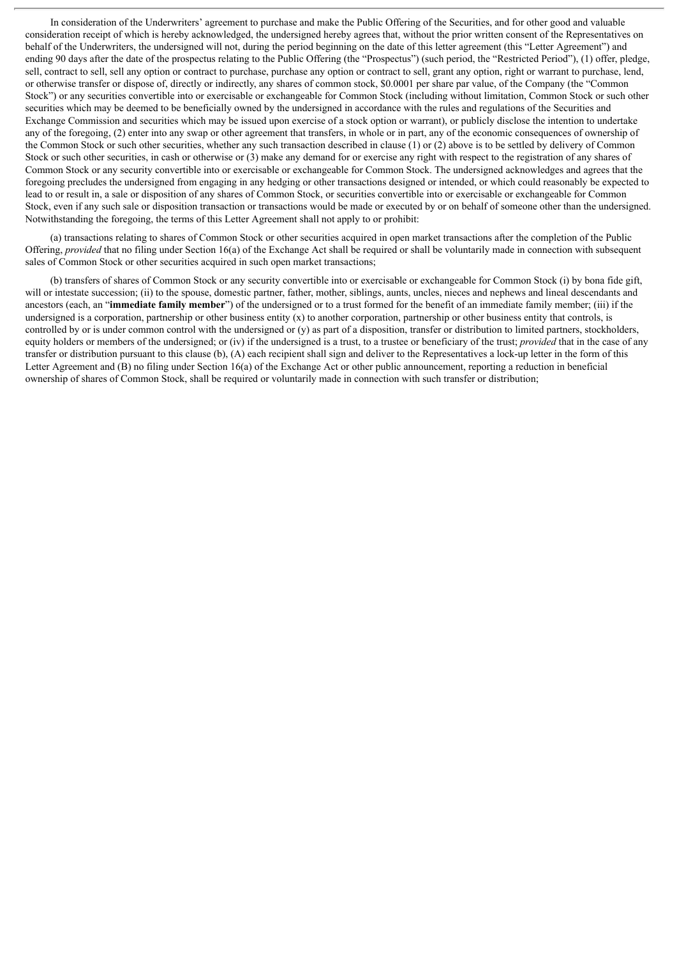In consideration of the Underwriters' agreement to purchase and make the Public Offering of the Securities, and for other good and valuable consideration receipt of which is hereby acknowledged, the undersigned hereby agrees that, without the prior written consent of the Representatives on behalf of the Underwriters, the undersigned will not, during the period beginning on the date of this letter agreement (this "Letter Agreement") and ending 90 days after the date of the prospectus relating to the Public Offering (the "Prospectus") (such period, the "Restricted Period"), (1) offer, pledge, sell, contract to sell, sell any option or contract to purchase, purchase any option or contract to sell, grant any option, right or warrant to purchase, lend, or otherwise transfer or dispose of, directly or indirectly, any shares of common stock, \$0.0001 per share par value, of the Company (the "Common Stock") or any securities convertible into or exercisable or exchangeable for Common Stock (including without limitation, Common Stock or such other securities which may be deemed to be beneficially owned by the undersigned in accordance with the rules and regulations of the Securities and Exchange Commission and securities which may be issued upon exercise of a stock option or warrant), or publicly disclose the intention to undertake any of the foregoing, (2) enter into any swap or other agreement that transfers, in whole or in part, any of the economic consequences of ownership of the Common Stock or such other securities, whether any such transaction described in clause (1) or (2) above is to be settled by delivery of Common Stock or such other securities, in cash or otherwise or (3) make any demand for or exercise any right with respect to the registration of any shares of Common Stock or any security convertible into or exercisable or exchangeable for Common Stock. The undersigned acknowledges and agrees that the foregoing precludes the undersigned from engaging in any hedging or other transactions designed or intended, or which could reasonably be expected to lead to or result in, a sale or disposition of any shares of Common Stock, or securities convertible into or exercisable or exchangeable for Common Stock, even if any such sale or disposition transaction or transactions would be made or executed by or on behalf of someone other than the undersigned. Notwithstanding the foregoing, the terms of this Letter Agreement shall not apply to or prohibit:

(a) transactions relating to shares of Common Stock or other securities acquired in open market transactions after the completion of the Public Offering, *provided* that no filing under Section 16(a) of the Exchange Act shall be required or shall be voluntarily made in connection with subsequent sales of Common Stock or other securities acquired in such open market transactions;

(b) transfers of shares of Common Stock or any security convertible into or exercisable or exchangeable for Common Stock (i) by bona fide gift, will or intestate succession; (ii) to the spouse, domestic partner, father, mother, siblings, aunts, uncles, nieces and nephews and lineal descendants and ancestors (each, an "**immediate family member**") of the undersigned or to a trust formed for the benefit of an immediate family member; (iii) if the undersigned is a corporation, partnership or other business entity  $(x)$  to another corporation, partnership or other business entity that controls, is controlled by or is under common control with the undersigned or (y) as part of a disposition, transfer or distribution to limited partners, stockholders, equity holders or members of the undersigned; or (iv) if the undersigned is a trust, to a trustee or beneficiary of the trust; *provided* that in the case of any transfer or distribution pursuant to this clause (b), (A) each recipient shall sign and deliver to the Representatives a lock-up letter in the form of this Letter Agreement and (B) no filing under Section 16(a) of the Exchange Act or other public announcement, reporting a reduction in beneficial ownership of shares of Common Stock, shall be required or voluntarily made in connection with such transfer or distribution;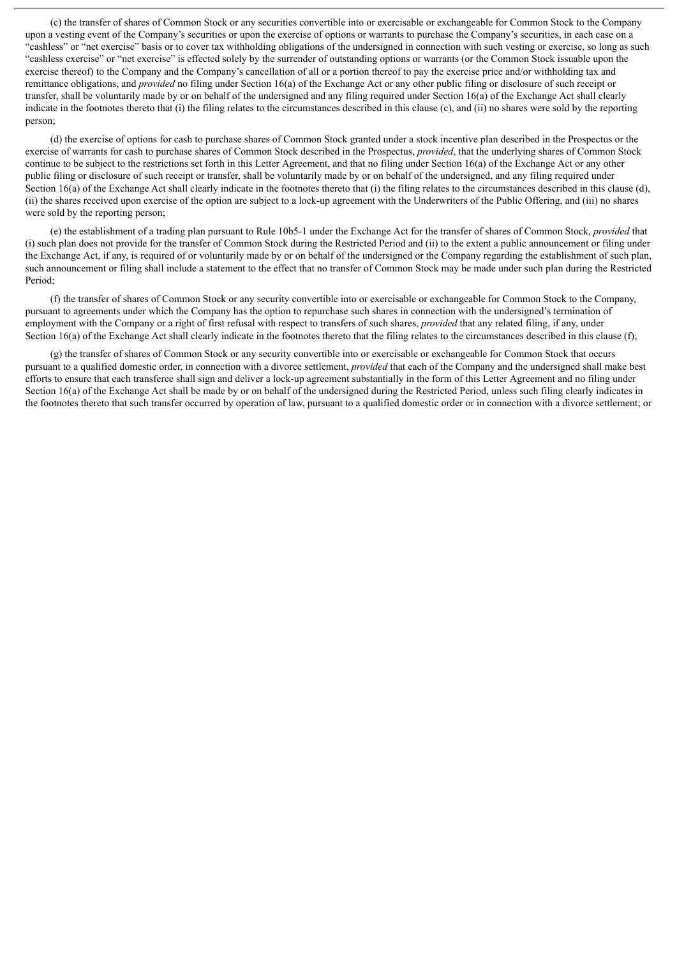(c) the transfer of shares of Common Stock or any securities convertible into or exercisable or exchangeable for Common Stock to the Company upon a vesting event of the Company's securities or upon the exercise of options or warrants to purchase the Company's securities, in each case on a "cashless" or "net exercise" basis or to cover tax withholding obligations of the undersigned in connection with such vesting or exercise, so long as such "cashless exercise" or "net exercise" is effected solely by the surrender of outstanding options or warrants (or the Common Stock issuable upon the exercise thereof) to the Company and the Company's cancellation of all or a portion thereof to pay the exercise price and/or withholding tax and remittance obligations, and *provided* no filing under Section 16(a) of the Exchange Act or any other public filing or disclosure of such receipt or transfer, shall be voluntarily made by or on behalf of the undersigned and any filing required under Section 16(a) of the Exchange Act shall clearly indicate in the footnotes thereto that (i) the filing relates to the circumstances described in this clause (c), and (ii) no shares were sold by the reporting person;

(d) the exercise of options for cash to purchase shares of Common Stock granted under a stock incentive plan described in the Prospectus or the exercise of warrants for cash to purchase shares of Common Stock described in the Prospectus, *provided*, that the underlying shares of Common Stock continue to be subject to the restrictions set forth in this Letter Agreement, and that no filing under Section 16(a) of the Exchange Act or any other public filing or disclosure of such receipt or transfer, shall be voluntarily made by or on behalf of the undersigned, and any filing required under Section 16(a) of the Exchange Act shall clearly indicate in the footnotes thereto that (i) the filing relates to the circumstances described in this clause (d), (ii) the shares received upon exercise of the option are subject to a lock-up agreement with the Underwriters of the Public Offering, and (iii) no shares were sold by the reporting person;

(e) the establishment of a trading plan pursuant to Rule 10b5-1 under the Exchange Act for the transfer of shares of Common Stock, *provided* that (i) such plan does not provide for the transfer of Common Stock during the Restricted Period and (ii) to the extent a public announcement or filing under the Exchange Act, if any, is required of or voluntarily made by or on behalf of the undersigned or the Company regarding the establishment of such plan, such announcement or filing shall include a statement to the effect that no transfer of Common Stock may be made under such plan during the Restricted Period;

(f) the transfer of shares of Common Stock or any security convertible into or exercisable or exchangeable for Common Stock to the Company, pursuant to agreements under which the Company has the option to repurchase such shares in connection with the undersigned's termination of employment with the Company or a right of first refusal with respect to transfers of such shares, *provided* that any related filing, if any, under Section 16(a) of the Exchange Act shall clearly indicate in the footnotes thereto that the filing relates to the circumstances described in this clause (f);

(g) the transfer of shares of Common Stock or any security convertible into or exercisable or exchangeable for Common Stock that occurs pursuant to a qualified domestic order, in connection with a divorce settlement, *provided* that each of the Company and the undersigned shall make best efforts to ensure that each transferee shall sign and deliver a lock-up agreement substantially in the form of this Letter Agreement and no filing under Section 16(a) of the Exchange Act shall be made by or on behalf of the undersigned during the Restricted Period, unless such filing clearly indicates in the footnotes thereto that such transfer occurred by operation of law, pursuant to a qualified domestic order or in connection with a divorce settlement; or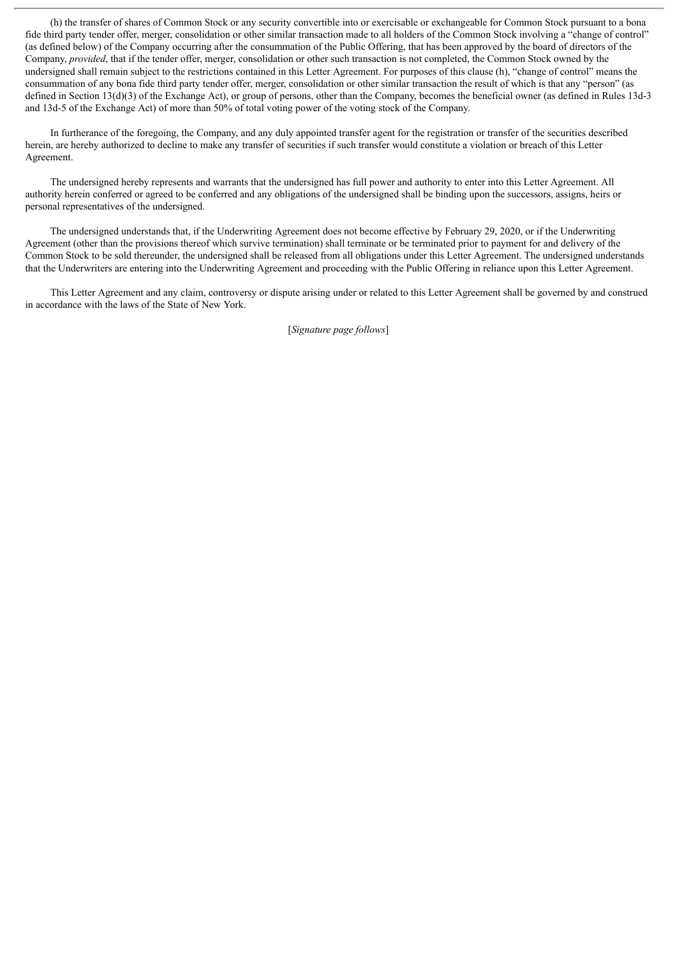(h) the transfer of shares of Common Stock or any security convertible into or exercisable or exchangeable for Common Stock pursuant to a bona fide third party tender offer, merger, consolidation or other similar transaction made to all holders of the Common Stock involving a "change of control" (as defined below) of the Company occurring after the consummation of the Public Offering, that has been approved by the board of directors of the Company, *provided*, that if the tender offer, merger, consolidation or other such transaction is not completed, the Common Stock owned by the undersigned shall remain subject to the restrictions contained in this Letter Agreement. For purposes of this clause (h), "change of control" means the consummation of any bona fide third party tender offer, merger, consolidation or other similar transaction the result of which is that any "person" (as defined in Section 13(d)(3) of the Exchange Act), or group of persons, other than the Company, becomes the beneficial owner (as defined in Rules 13d-3 and 13d-5 of the Exchange Act) of more than 50% of total voting power of the voting stock of the Company.

In furtherance of the foregoing, the Company, and any duly appointed transfer agent for the registration or transfer of the securities described herein, are hereby authorized to decline to make any transfer of securities if such transfer would constitute a violation or breach of this Letter Agreement.

The undersigned hereby represents and warrants that the undersigned has full power and authority to enter into this Letter Agreement. All authority herein conferred or agreed to be conferred and any obligations of the undersigned shall be binding upon the successors, assigns, heirs or personal representatives of the undersigned.

The undersigned understands that, if the Underwriting Agreement does not become effective by February 29, 2020, or if the Underwriting Agreement (other than the provisions thereof which survive termination) shall terminate or be terminated prior to payment for and delivery of the Common Stock to be sold thereunder, the undersigned shall be released from all obligations under this Letter Agreement. The undersigned understands that the Underwriters are entering into the Underwriting Agreement and proceeding with the Public Offering in reliance upon this Letter Agreement.

This Letter Agreement and any claim, controversy or dispute arising under or related to this Letter Agreement shall be governed by and construed in accordance with the laws of the State of New York.

[*Signature page follows*]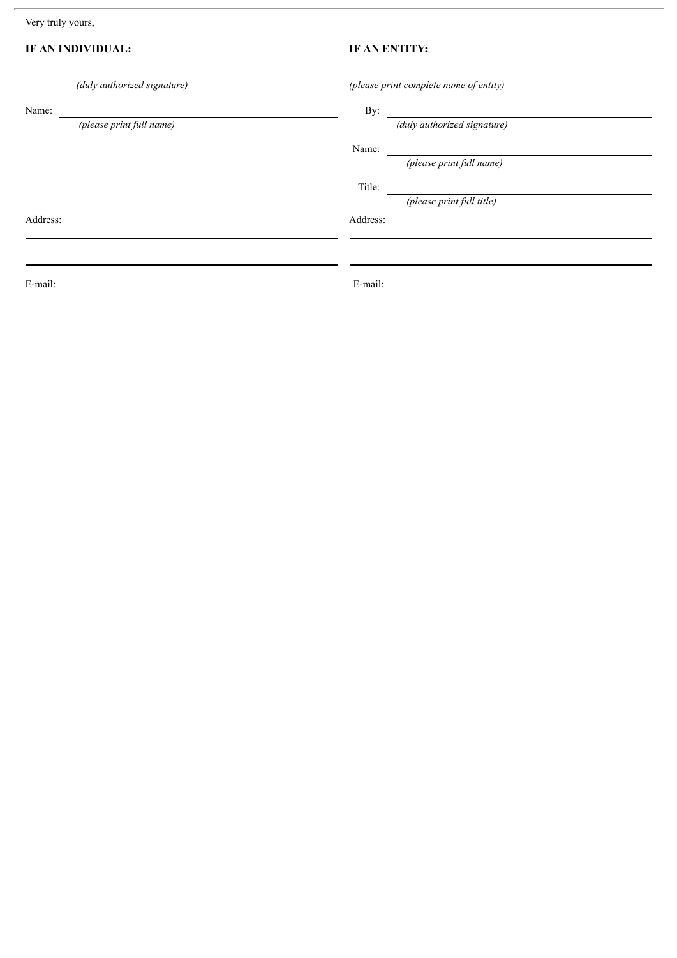Very truly yours,

# **IF AN INDIVIDUAL: IF AN ENTITY:**

| (duly authorized signature) | (please print complete name of entity) |
|-----------------------------|----------------------------------------|
| Name:                       | By:                                    |
| (please print full name)    | (duly authorized signature)            |
|                             | Name:                                  |
|                             | (please print full name)               |
|                             | Title:                                 |
|                             | (please print full title)              |
| Address:                    | Address:                               |
|                             |                                        |
|                             |                                        |
| E-mail:                     | E-mail:                                |
|                             |                                        |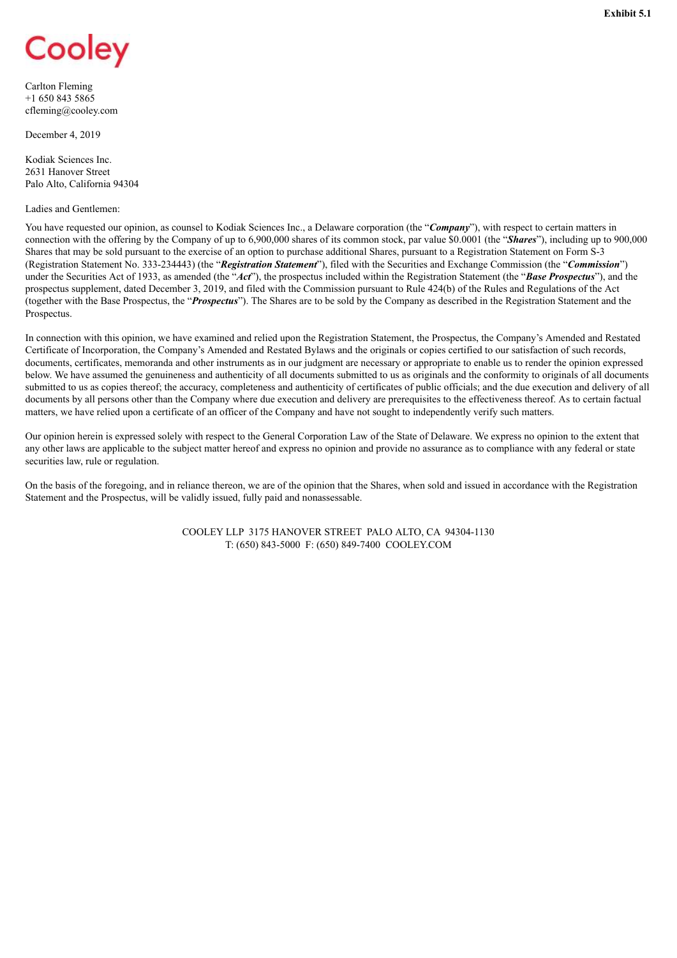<span id="page-46-0"></span>

Carlton Fleming +1 650 843 5865 cfleming@cooley.com

December 4, 2019

Kodiak Sciences Inc. 2631 Hanover Street Palo Alto, California 94304

#### Ladies and Gentlemen:

You have requested our opinion, as counsel to Kodiak Sciences Inc., a Delaware corporation (the "*Company*"), with respect to certain matters in connection with the offering by the Company of up to 6,900,000 shares of its common stock, par value \$0.0001 (the "*Shares*"), including up to 900,000 Shares that may be sold pursuant to the exercise of an option to purchase additional Shares, pursuant to a Registration Statement on Form S-3 (Registration Statement No. 333-234443) (the "*Registration Statement*"), filed with the Securities and Exchange Commission (the "*Commission*") under the Securities Act of 1933, as amended (the "*Act*"), the prospectus included within the Registration Statement (the "*Base Prospectus*"), and the prospectus supplement, dated December 3, 2019, and filed with the Commission pursuant to Rule 424(b) of the Rules and Regulations of the Act (together with the Base Prospectus, the "*Prospectus*"). The Shares are to be sold by the Company as described in the Registration Statement and the Prospectus.

In connection with this opinion, we have examined and relied upon the Registration Statement, the Prospectus, the Company's Amended and Restated Certificate of Incorporation, the Company's Amended and Restated Bylaws and the originals or copies certified to our satisfaction of such records, documents, certificates, memoranda and other instruments as in our judgment are necessary or appropriate to enable us to render the opinion expressed below. We have assumed the genuineness and authenticity of all documents submitted to us as originals and the conformity to originals of all documents submitted to us as copies thereof; the accuracy, completeness and authenticity of certificates of public officials; and the due execution and delivery of all documents by all persons other than the Company where due execution and delivery are prerequisites to the effectiveness thereof. As to certain factual matters, we have relied upon a certificate of an officer of the Company and have not sought to independently verify such matters.

Our opinion herein is expressed solely with respect to the General Corporation Law of the State of Delaware. We express no opinion to the extent that any other laws are applicable to the subject matter hereof and express no opinion and provide no assurance as to compliance with any federal or state securities law, rule or regulation.

On the basis of the foregoing, and in reliance thereon, we are of the opinion that the Shares, when sold and issued in accordance with the Registration Statement and the Prospectus, will be validly issued, fully paid and nonassessable.

> COOLEY LLP 3175 HANOVER STREET PALO ALTO, CA 94304-1130 T: (650) 843-5000 F: (650) 849-7400 COOLEY.COM